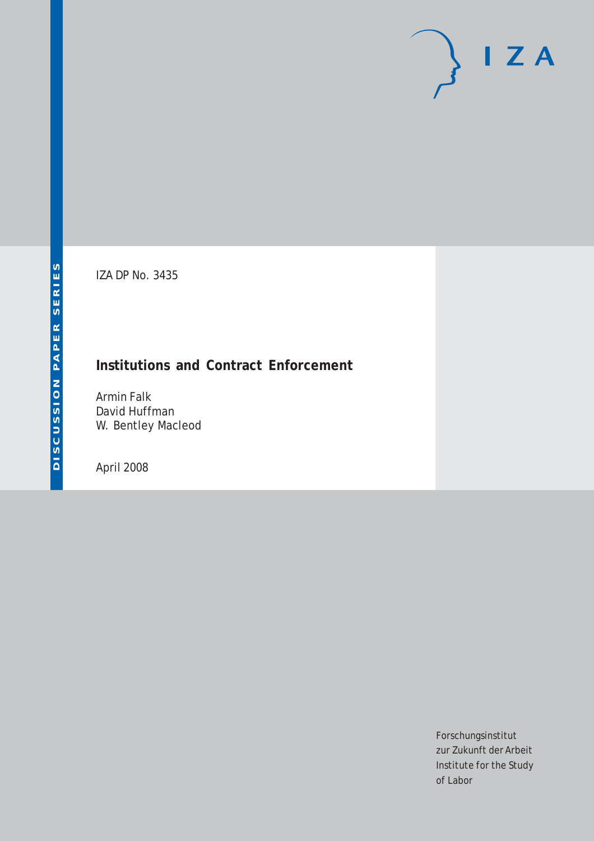# $I Z A$

IZA DP No. 3435

# **Institutions and Contract Enforcement**

Armin Falk David Huffman W. Bentley Macleod

April 2008

Forschungsinstitut zur Zukunft der Arbeit Institute for the Study of Labor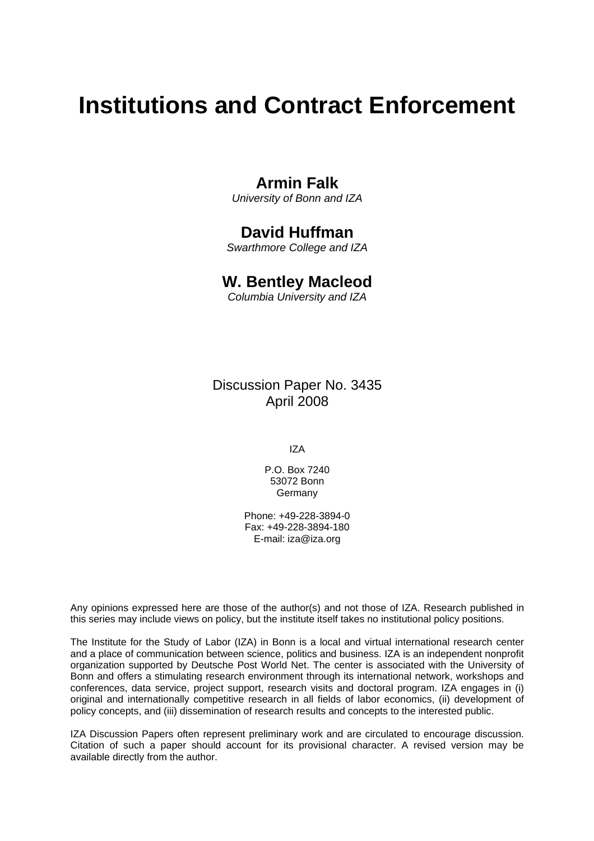# **Institutions and Contract Enforcement**

# **Armin Falk**

*University of Bonn and IZA* 

# **David Huffman**

*Swarthmore College and IZA* 

# **W. Bentley Macleod**

*Columbia University and IZA* 

Discussion Paper No. 3435 April 2008

IZA

P.O. Box 7240 53072 Bonn Germany

Phone: +49-228-3894-0 Fax: +49-228-3894-180 E-mail: [iza@iza.org](mailto:iza@iza.org)

Any opinions expressed here are those of the author(s) and not those of IZA. Research published in this series may include views on policy, but the institute itself takes no institutional policy positions.

The Institute for the Study of Labor (IZA) in Bonn is a local and virtual international research center and a place of communication between science, politics and business. IZA is an independent nonprofit organization supported by Deutsche Post World Net. The center is associated with the University of Bonn and offers a stimulating research environment through its international network, workshops and conferences, data service, project support, research visits and doctoral program. IZA engages in (i) original and internationally competitive research in all fields of labor economics, (ii) development of policy concepts, and (iii) dissemination of research results and concepts to the interested public.

IZA Discussion Papers often represent preliminary work and are circulated to encourage discussion. Citation of such a paper should account for its provisional character. A revised version may be available directly from the author.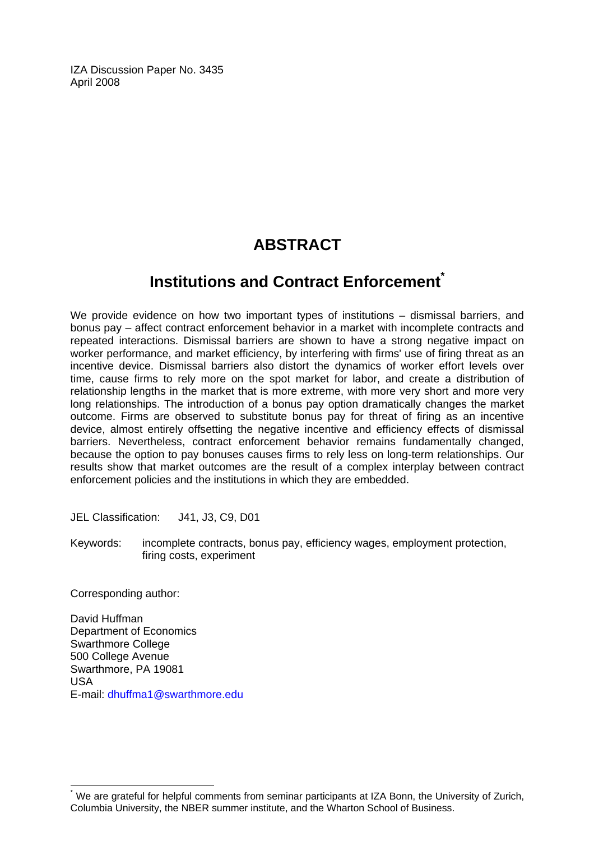IZA Discussion Paper No. 3435 April 2008

# **ABSTRACT**

# **Institutions and Contract Enforcement[\\*](#page-2-0)**

We provide evidence on how two important types of institutions – dismissal barriers, and bonus pay – affect contract enforcement behavior in a market with incomplete contracts and repeated interactions. Dismissal barriers are shown to have a strong negative impact on worker performance, and market efficiency, by interfering with firms' use of firing threat as an incentive device. Dismissal barriers also distort the dynamics of worker effort levels over time, cause firms to rely more on the spot market for labor, and create a distribution of relationship lengths in the market that is more extreme, with more very short and more very long relationships. The introduction of a bonus pay option dramatically changes the market outcome. Firms are observed to substitute bonus pay for threat of firing as an incentive device, almost entirely offsetting the negative incentive and efficiency effects of dismissal barriers. Nevertheless, contract enforcement behavior remains fundamentally changed, because the option to pay bonuses causes firms to rely less on long-term relationships. Our results show that market outcomes are the result of a complex interplay between contract enforcement policies and the institutions in which they are embedded.

JEL Classification: J41, J3, C9, D01

Keywords: incomplete contracts, bonus pay, efficiency wages, employment protection, firing costs, experiment

Corresponding author:

 $\overline{a}$ 

David Huffman Department of Economics Swarthmore College 500 College Avenue Swarthmore, PA 19081 USA E-mail: [dhuffma1@swarthmore.edu](mailto:dhuffma1@swarthmore.edu) 

<span id="page-2-0"></span><sup>\*</sup> We are grateful for helpful comments from seminar participants at IZA Bonn, the University of Zurich, Columbia University, the NBER summer institute, and the Wharton School of Business.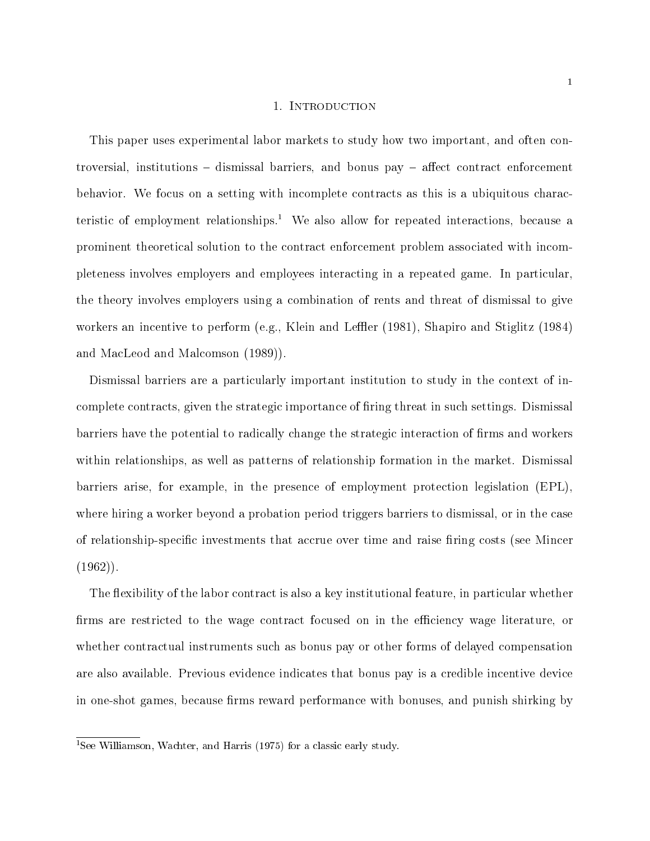#### 1. INTRODUCTION

This paper uses experimental labor markets to study how two important, and often controversial, institutions  $-$  dismissal barriers, and bonus pay  $-$  affect contract enforcement behavior. We focus on a setting with incomplete contracts as this is a ubiquitous characteristic of employment relationships.<sup>1</sup> We also allow for repeated interactions, because a prominent theoretical solution to the contract enforcement problem associated with incompleteness involves employers and employees interacting in a repeated game. In particular, the theory involves employers using a combination of rents and threat of dismissal to give workers an incentive to perform (e.g., Klein and Leffler (1981), Shapiro and Stiglitz (1984) and MacLeod and Malcomson (1989)).

Dismissal barriers are a particularly important institution to study in the context of incomplete contracts, given the strategic importance of firing threat in such settings. Dismissal barriers have the potential to radically change the strategic interaction of firms and workers within relationships, as well as patterns of relationship formation in the market. Dismissal barriers arise, for example, in the presence of employment protection legislation (EPL), where hiring a worker beyond a probation period triggers barriers to dismissal, or in the case of relationship-specific investments that accrue over time and raise firing costs (see Mincer  $(1962)$ .

The flexibility of the labor contract is also a key institutional feature, in particular whether firms are restricted to the wage contract focused on in the efficiency wage literature, or whether contractual instruments such as bonus pay or other forms of delayed compensation are also available. Previous evidence indicates that bonus pay is a credible incentive device in one-shot games, because firms reward performance with bonuses, and punish shirking by

<sup>&</sup>lt;sup>1</sup>See Williamson, Wachter, and Harris (1975) for a classic early study.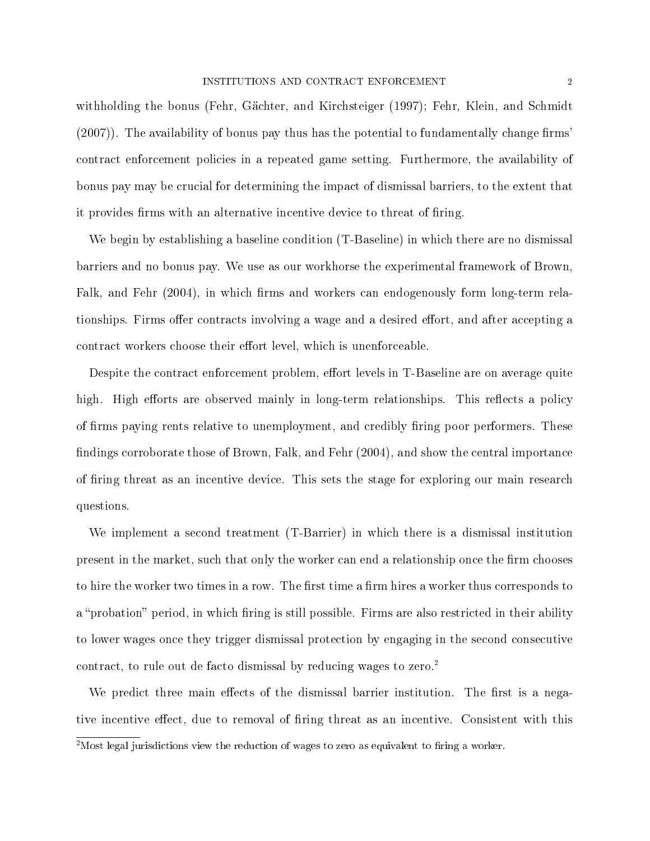withholding the bonus (Fehr, Gächter, and Kirchsteiger (1997); Fehr, Klein, and Schmidt  $(2007)$ . The availability of bonus pay thus has the potential to fundamentally change firms' contract enforcement policies in a repeated game setting. Furthermore, the availability of bonus pay may be crucial for determining the impact of dismissal barriers, to the extent that it provides firms with an alternative incentive device to threat of firing.

We begin by establishing a baseline condition (T-Baseline) in which there are no dismissal barriers and no bonus pay. We use as our workhorse the experimental framework of Brown, Falk, and Fehr (2004), in which firms and workers can endogenously form long-term relationships. Firms offer contracts involving a wage and a desired effort, and after accepting a contract workers choose their effort level, which is unenforceable.

Despite the contract enforcement problem, effort levels in T-Baseline are on average quite high. High efforts are observed mainly in long-term relationships. This reflects a policy of firms paying rents relative to unemployment, and credibly firing poor performers. These findings corroborate those of Brown, Falk, and Fehr  $(2004)$ , and show the central importance of firing threat as an incentive device. This sets the stage for exploring our main research questions.

We implement a second treatment (T-Barrier) in which there is a dismissal institution present in the market, such that only the worker can end a relationship once the firm chooses to hire the worker two times in a row. The first time a firm hires a worker thus corresponds to a "probation" period, in which firing is still possible. Firms are also restricted in their ability to lower wages once they trigger dismissal protection by engaging in the second consecutive contract, to rule out de facto dismissal by reducing wages to zero.<sup>2</sup>

We predict three main effects of the dismissal barrier institution. The first is a negative incentive effect, due to removal of firing threat as an incentive. Consistent with this

<sup>&</sup>lt;sup>2</sup>Most legal jurisdictions view the reduction of wages to zero as equivalent to firing a worker.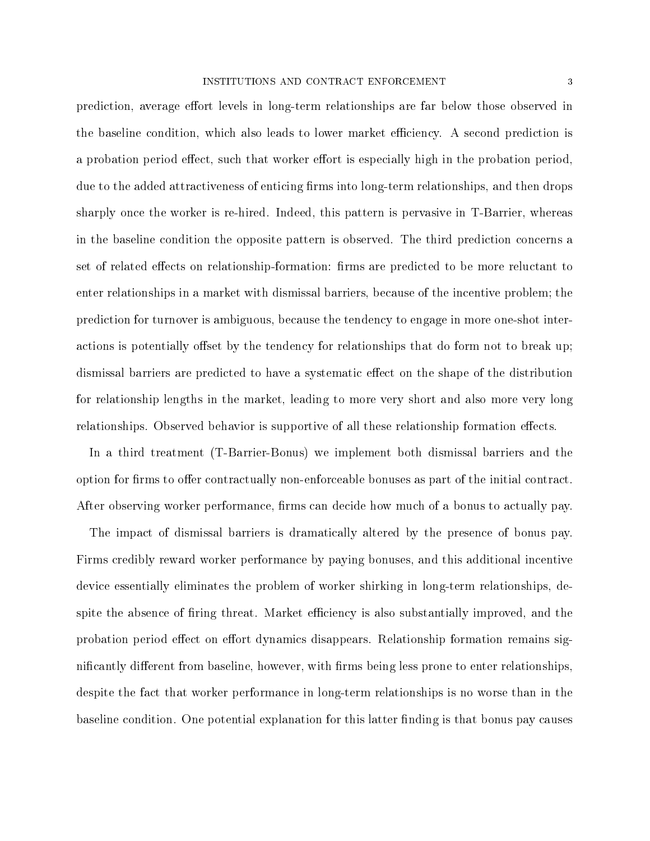prediction, average effort levels in long-term relationships are far below those observed in the baseline condition, which also leads to lower market efficiency. A second prediction is a probation period effect, such that worker effort is especially high in the probation period. due to the added attractiveness of enticing firms into long-term relationships, and then drops sharply once the worker is re-hired. Indeed, this pattern is pervasive in T-Barrier, whereas in the baseline condition the opposite pattern is observed. The third prediction concerns a set of related effects on relationship-formation: firms are predicted to be more reluctant to enter relationships in a market with dismissal barriers, because of the incentive problem; the prediction for turnover is ambiguous, because the tendency to engage in more one-shot interactions is potentially offset by the tendency for relationships that do form not to break up; dismissal barriers are predicted to have a systematic effect on the shape of the distribution for relationship lengths in the market, leading to more very short and also more very long relationships. Observed behavior is supportive of all these relationship formation effects.

In a third treatment (T-Barrier-Bonus) we implement both dismissal barriers and the option for firms to offer contractually non-enforceable bonuses as part of the initial contract. After observing worker performance, firms can decide how much of a bonus to actually pay.

The impact of dismissal barriers is dramatically altered by the presence of bonus pay. Firms credibly reward worker performance by paying bonuses, and this additional incentive device essentially eliminates the problem of worker shirking in long-term relationships, despite the absence of firing threat. Market efficiency is also substantially improved, and the probation period effect on effort dynamics disappears. Relationship formation remains significantly different from baseline, however, with firms being less prone to enter relationships. despite the fact that worker performance in long-term relationships is no worse than in the baseline condition. One potential explanation for this latter finding is that bonus pay causes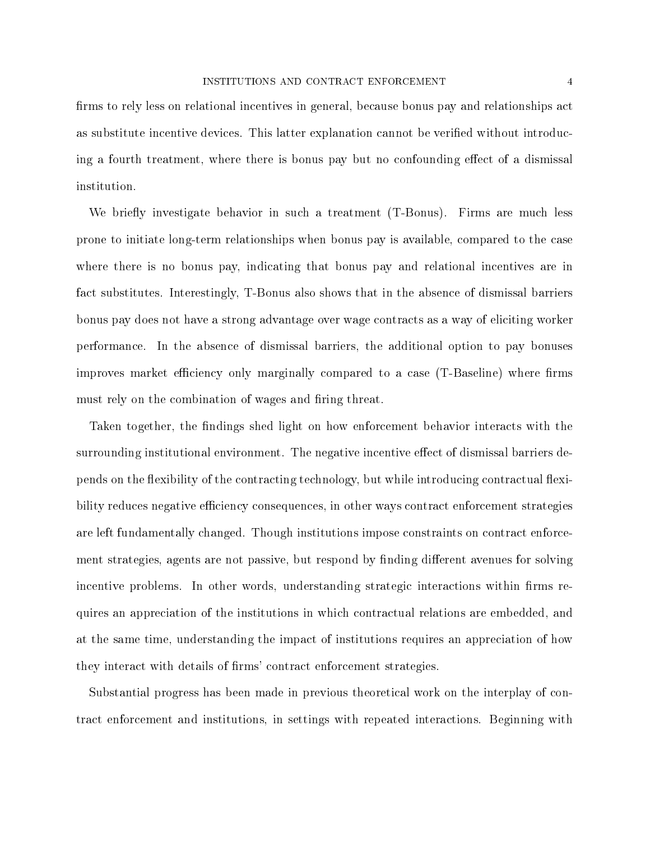firms to rely less on relational incentives in general, because bonus pay and relationships act as substitute incentive devices. This latter explanation cannot be verified without introducing a fourth treatment, where there is bonus pay but no confounding effect of a dismissal institution.

We briefly investigate behavior in such a treatment (T-Bonus). Firms are much less prone to initiate long-term relationships when bonus pay is available, compared to the case where there is no bonus pay, indicating that bonus pay and relational incentives are in fact substitutes. Interestingly, T-Bonus also shows that in the absence of dismissal barriers bonus pay does not have a strong advantage over wage contracts as a way of eliciting worker performance. In the absence of dismissal barriers, the additional option to pay bonuses improves market efficiency only marginally compared to a case (T-Baseline) where firms must rely on the combination of wages and firing threat.

Taken together, the findings shed light on how enforcement behavior interacts with the surrounding institutional environment. The negative incentive effect of dismissal barriers depends on the flexibility of the contracting technology, but while introducing contractual flexibility reduces negative efficiency consequences, in other ways contract enforcement strategies are left fundamentally changed. Though institutions impose constraints on contract enforcement strategies, agents are not passive, but respond by finding different avenues for solving incentive problems. In other words, understanding strategic interactions within firms requires an appreciation of the institutions in which contractual relations are embedded, and at the same time, understanding the impact of institutions requires an appreciation of how they interact with details of firms' contract enforcement strategies.

Substantial progress has been made in previous theoretical work on the interplay of contract enforcement and institutions, in settings with repeated interactions. Beginning with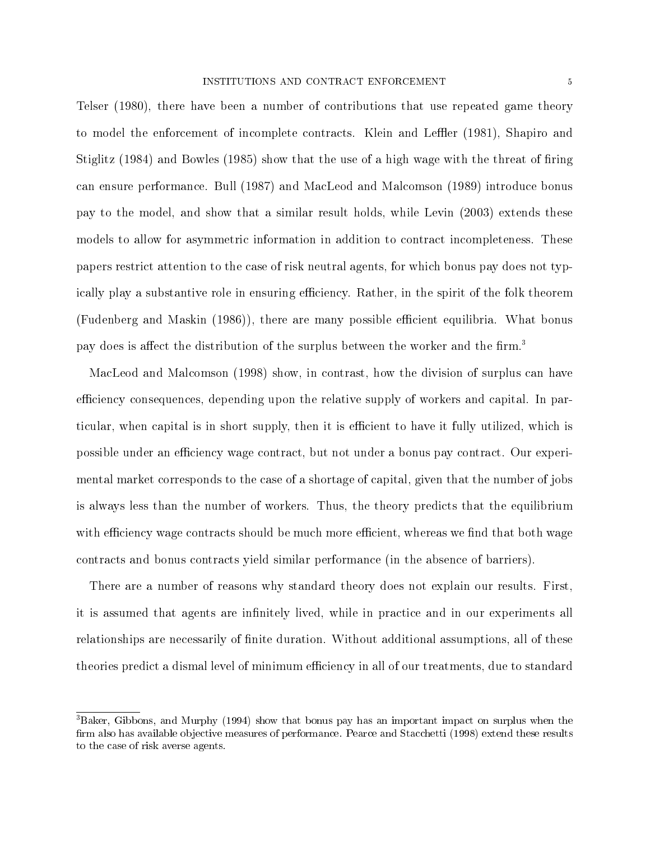Telser (1980), there have been a number of contributions that use repeated game theory to model the enforcement of incomplete contracts. Klein and Leffler (1981), Shapiro and Stiglitz  $(1984)$  and Bowles  $(1985)$  show that the use of a high wage with the threat of firing can ensure performance. Bull (1987) and MacLeod and Malcomson (1989) introduce bonus pay to the model, and show that a similar result holds, while Levin (2003) extends these models to allow for asymmetric information in addition to contract incompleteness. These papers restrict attention to the case of risk neutral agents, for which bonus pay does not typically play a substantive role in ensuring efficiency. Rather, in the spirit of the folk theorem (Fudenberg and Maskin (1986)), there are many possible efficient equilibria. What bonus pay does is affect the distribution of the surplus between the worker and the firm.<sup>3</sup>

MacLeod and Malcomson (1998) show, in contrast, how the division of surplus can have efficiency consequences, depending upon the relative supply of workers and capital. In particular, when capital is in short supply, then it is efficient to have it fully utilized, which is possible under an efficiency wage contract, but not under a bonus pay contract. Our experimental market corresponds to the case of a shortage of capital, given that the number of jobs is always less than the number of workers. Thus, the theory predicts that the equilibrium with efficiency wage contracts should be much more efficient, whereas we find that both wage contracts and bonus contracts yield similar performance (in the absence of barriers).

There are a number of reasons why standard theory does not explain our results. First, it is assumed that agents are infinitely lived, while in practice and in our experiments all relationships are necessarily of nite duration. Without additional assumptions, all of these theories predict a dismal level of minimum efficiency in all of our treatments, due to standard

<sup>&</sup>lt;sup>3</sup>Baker. Gibbons, and Murphy (1994) show that bonus pay has an important impact on surplus when the firm also has available objective measures of performance. Pearce and Stacchetti (1998) extend these results to the case of risk averse agents.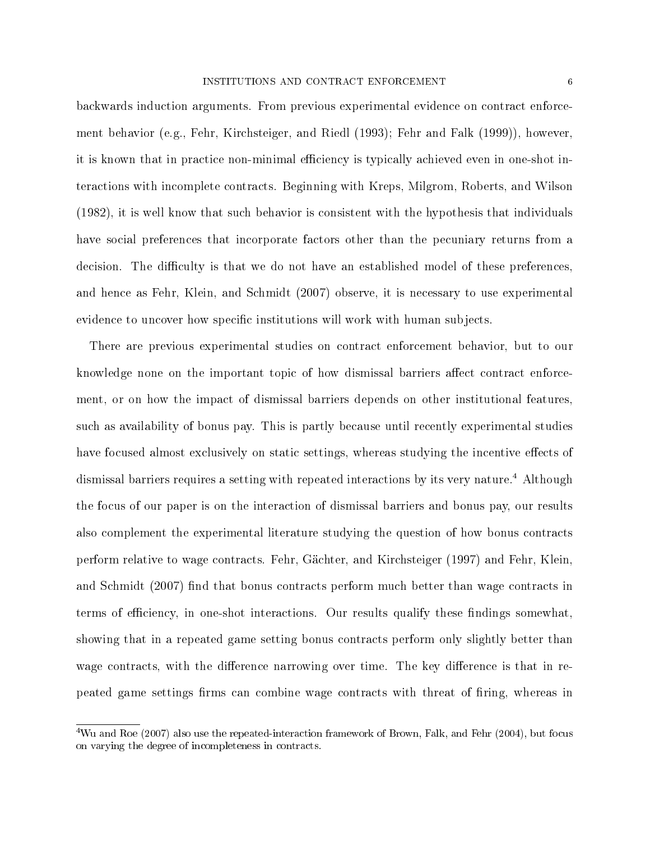backwards induction arguments. From previous experimental evidence on contract enforcement behavior (e.g., Fehr, Kirchsteiger, and Riedl (1993); Fehr and Falk (1999)), however, it is known that in practice non-minimal efficiency is typically achieved even in one-shot interactions with incomplete contracts. Beginning with Kreps, Milgrom, Roberts, and Wilson (1982), it is well know that such behavior is consistent with the hypothesis that individuals have social preferences that incorporate factors other than the pecuniary returns from a decision. The difficulty is that we do not have an established model of these preferences, and hence as Fehr, Klein, and Schmidt (2007) observe, it is necessary to use experimental evidence to uncover how specific institutions will work with human subjects.

There are previous experimental studies on contract enforcement behavior, but to our knowledge none on the important topic of how dismissal barriers affect contract enforcement, or on how the impact of dismissal barriers depends on other institutional features, such as availability of bonus pay. This is partly because until recently experimental studies have focused almost exclusively on static settings, whereas studying the incentive effects of dismissal barriers requires a setting with repeated interactions by its very nature.<sup>4</sup> Although the focus of our paper is on the interaction of dismissal barriers and bonus pay, our results also complement the experimental literature studying the question of how bonus contracts perform relative to wage contracts. Fehr, Gächter, and Kirchsteiger (1997) and Fehr, Klein, and Schmidt (2007) find that bonus contracts perform much better than wage contracts in terms of efficiency, in one-shot interactions. Our results qualify these findings somewhat, showing that in a repeated game setting bonus contracts perform only slightly better than wage contracts, with the difference narrowing over time. The key difference is that in repeated game settings firms can combine wage contracts with threat of firing, whereas in

<sup>&</sup>lt;sup>4</sup>Wu and Roe (2007) also use the repeated-interaction framework of Brown, Falk, and Fehr (2004), but focus on varying the degree of incompleteness in contracts.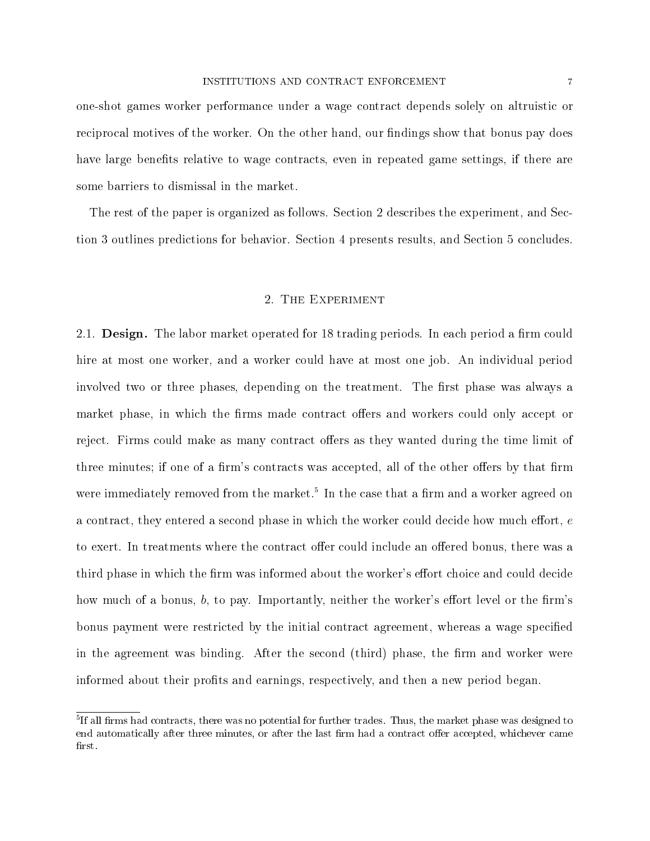one-shot games worker performance under a wage contract depends solely on altruistic or reciprocal motives of the worker. On the other hand, our findings show that bonus pay does have large benefits relative to wage contracts, even in repeated game settings, if there are some barriers to dismissal in the market.

The rest of the paper is organized as follows. Section 2 describes the experiment, and Section 3 outlines predictions for behavior. Section 4 presents results, and Section 5 concludes.

#### 2. The Experiment

2.1. Design. The labor market operated for 18 trading periods. In each period a firm could hire at most one worker, and a worker could have at most one job. An individual period involved two or three phases, depending on the treatment. The first phase was always a market phase, in which the firms made contract offers and workers could only accept or reject. Firms could make as many contract offers as they wanted during the time limit of three minutes; if one of a firm's contracts was accepted, all of the other offers by that firm were immediately removed from the market.<sup>5</sup> In the case that a firm and a worker agreed on a contract, they entered a second phase in which the worker could decide how much effort,  $e$ to exert. In treatments where the contract offer could include an offered bonus, there was a third phase in which the firm was informed about the worker's effort choice and could decide how much of a bonus,  $b$ , to pay. Importantly, neither the worker's effort level or the firm's bonus payment were restricted by the initial contract agreement, whereas a wage specified in the agreement was binding. After the second (third) phase, the firm and worker were informed about their profits and earnings, respectively, and then a new period began.

 $^5$ If all firms had contracts, there was no potential for further trades. Thus, the market phase was designed to end automatically after three minutes, or after the last firm had a contract offer accepted, whichever came first.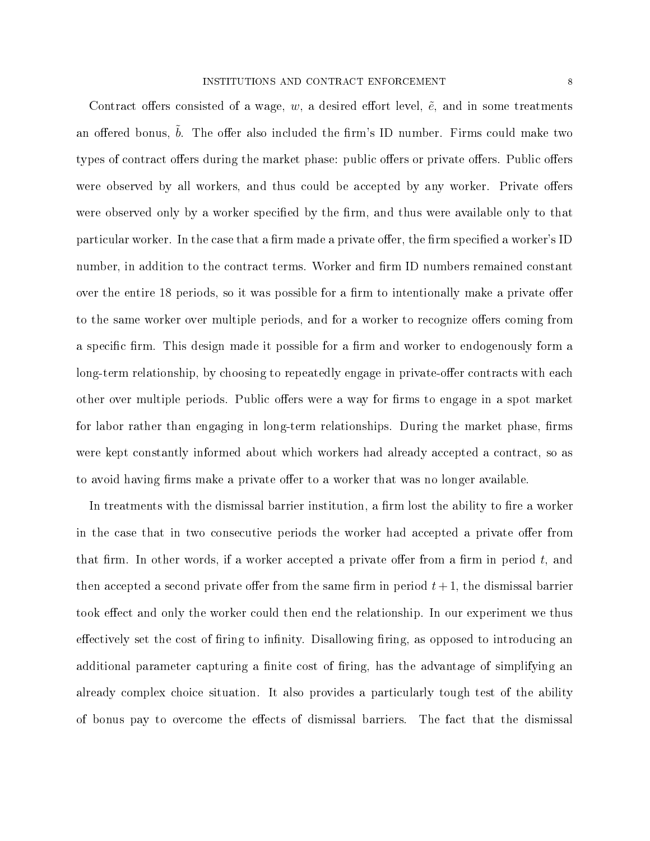Contract offers consisted of a wage, w, a desired effort level,  $\tilde{e}$ , and in some treatments an offered bonus,  $b$ . The offer also included the firm's ID number. Firms could make two types of contract offers during the market phase: public offers or private offers. Public offers were observed by all workers, and thus could be accepted by any worker. Private offers were observed only by a worker specified by the firm, and thus were available only to that particular worker. In the case that a firm made a private offer, the firm specified a worker's ID number, in addition to the contract terms. Worker and firm ID numbers remained constant over the entire 18 periods, so it was possible for a firm to intentionally make a private offer to the same worker over multiple periods, and for a worker to recognize offers coming from a specific firm. This design made it possible for a firm and worker to endogenously form a long-term relationship, by choosing to repeatedly engage in private-offer contracts with each other over multiple periods. Public offers were a way for firms to engage in a spot market for labor rather than engaging in long-term relationships. During the market phase, firms were kept constantly informed about which workers had already accepted a contract, so as to avoid having firms make a private offer to a worker that was no longer available.

In treatments with the dismissal barrier institution, a firm lost the ability to fire a worker in the case that in two consecutive periods the worker had accepted a private offer from that firm. In other words, if a worker accepted a private offer from a firm in period  $t$ , and then accepted a second private offer from the same firm in period  $t + 1$ , the dismissal barrier took effect and only the worker could then end the relationship. In our experiment we thus effectively set the cost of firing to infinity. Disallowing firing, as opposed to introducing an additional parameter capturing a finite cost of firing, has the advantage of simplifying an already complex choice situation. It also provides a particularly tough test of the ability of bonus pay to overcome the effects of dismissal barriers. The fact that the dismissal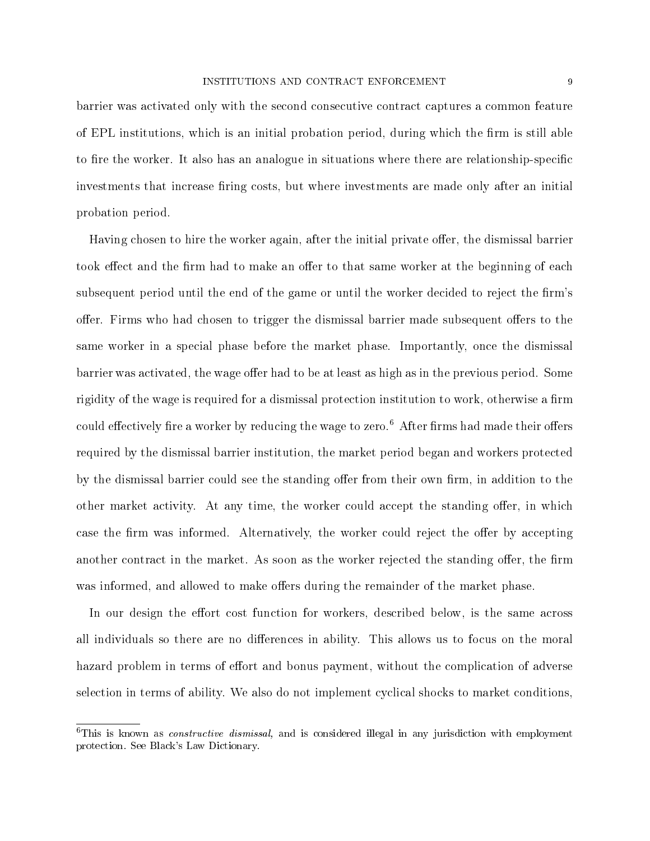barrier was activated only with the second consecutive contract captures a common feature of EPL institutions, which is an initial probation period, during which the firm is still able to fire the worker. It also has an analogue in situations where there are relationship-specific investments that increase firing costs, but where investments are made only after an initial probation period.

Having chosen to hire the worker again, after the initial private offer, the dismissal barrier took effect and the firm had to make an offer to that same worker at the beginning of each subsequent period until the end of the game or until the worker decided to reject the firm's offer. Firms who had chosen to trigger the dismissal barrier made subsequent offers to the same worker in a special phase before the market phase. Importantly, once the dismissal barrier was activated, the wage offer had to be at least as high as in the previous period. Some rigidity of the wage is required for a dismissal protection institution to work, otherwise a firm could effectively fire a worker by reducing the wage to zero.<sup>6</sup> After firms had made their offers required by the dismissal barrier institution, the market period began and workers protected by the dismissal barrier could see the standing offer from their own firm, in addition to the other market activity. At any time, the worker could accept the standing offer, in which case the firm was informed. Alternatively, the worker could reject the offer by accepting another contract in the market. As soon as the worker rejected the standing offer, the firm was informed, and allowed to make offers during the remainder of the market phase.

In our design the effort cost function for workers, described below, is the same across all individuals so there are no differences in ability. This allows us to focus on the moral hazard problem in terms of effort and bonus payment, without the complication of adverse selection in terms of ability. We also do not implement cyclical shocks to market conditions,

 ${}^{6}$ This is known as *constructive dismissal*, and is considered illegal in any jurisdiction with employment protection. See Black's Law Dictionary.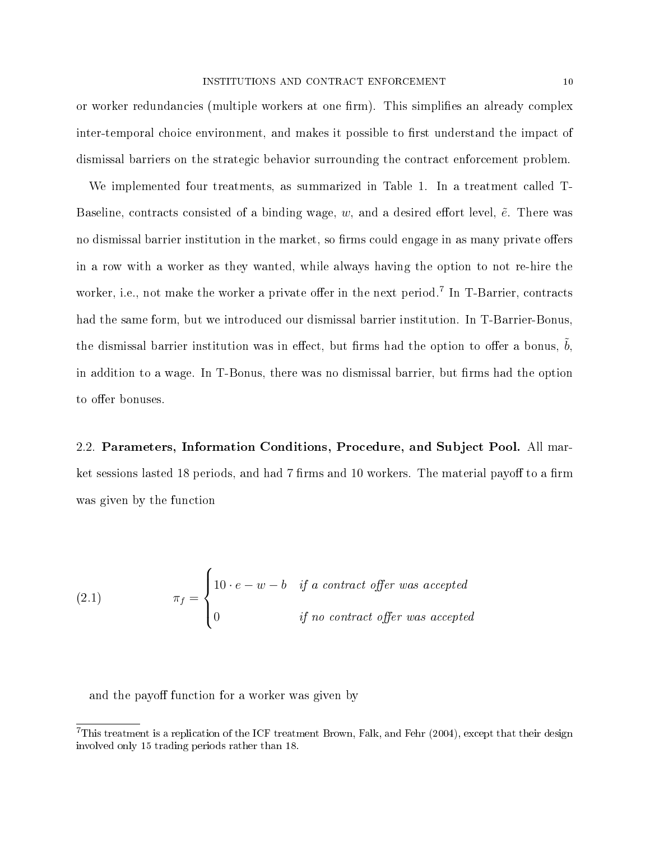or worker redundancies (multiple workers at one firm). This simplifies an already complex inter-temporal choice environment, and makes it possible to first understand the impact of dismissal barriers on the strategic behavior surrounding the contract enforcement problem.

We implemented four treatments, as summarized in Table 1. In a treatment called T-Baseline, contracts consisted of a binding wage,  $w$ , and a desired effort level,  $\tilde{e}$ . There was no dismissal barrier institution in the market, so firms could engage in as many private offers in a row with a worker as they wanted, while always having the option to not re-hire the worker, i.e., not make the worker a private offer in the next period.<sup>7</sup> In T-Barrier, contracts had the same form, but we introduced our dismissal barrier institution. In T-Barrier-Bonus, the dismissal barrier institution was in effect, but firms had the option to offer a bonus,  $b$ , in addition to a wage. In T-Bonus, there was no dismissal barrier, but firms had the option to offer bonuses.

2.2. Parameters, Information Conditions, Procedure, and Subject Pool. All market sessions lasted 18 periods, and had 7 firms and 10 workers. The material payoff to a firm was given by the function

(2.1) 
$$
\pi_f = \begin{cases} 10 \cdot e - w - b & \text{if a contract offer was accepted} \\ 0 & \text{if no contract offer was accepted} \end{cases}
$$

and the payoff function for a worker was given by

<sup>&</sup>lt;sup>7</sup>This treatment is a replication of the ICF treatment Brown, Falk, and Fehr (2004), except that their design involved only 15 trading periods rather than 18.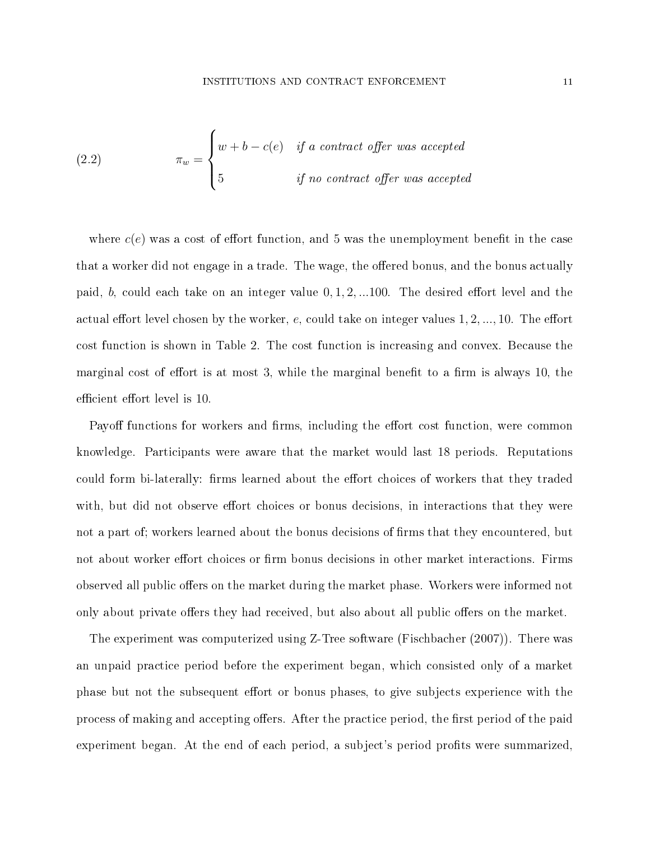(2.2) 
$$
\pi_w = \begin{cases} w + b - c(e) & \text{if a contract offer was accepted} \\ 5 & \text{if no contract offer was accepted} \end{cases}
$$

where  $c(e)$  was a cost of effort function, and 5 was the unemployment benefit in the case that a worker did not engage in a trade. The wage, the offered bonus, and the bonus actually paid, b, could each take on an integer value  $0, 1, 2, ...100$ . The desired effort level and the actual effort level chosen by the worker, e, could take on integer values  $1, 2, ..., 10$ . The effort cost function is shown in Table 2. The cost function is increasing and convex. Because the marginal cost of effort is at most 3, while the marginal benefit to a firm is always 10, the efficient effort level is 10.

Payoff functions for workers and firms, including the effort cost function, were common knowledge. Participants were aware that the market would last 18 periods. Reputations could form bi-laterally: firms learned about the effort choices of workers that they traded with, but did not observe effort choices or bonus decisions, in interactions that they were not a part of; workers learned about the bonus decisions of firms that they encountered, but not about worker effort choices or firm bonus decisions in other market interactions. Firms observed all public offers on the market during the market phase. Workers were informed not only about private offers they had received, but also about all public offers on the market.

The experiment was computerized using Z-Tree software (Fischbacher (2007)). There was an unpaid practice period before the experiment began, which consisted only of a market phase but not the subsequent effort or bonus phases, to give subjects experience with the process of making and accepting offers. After the practice period, the first period of the paid experiment began. At the end of each period, a subject's period profits were summarized,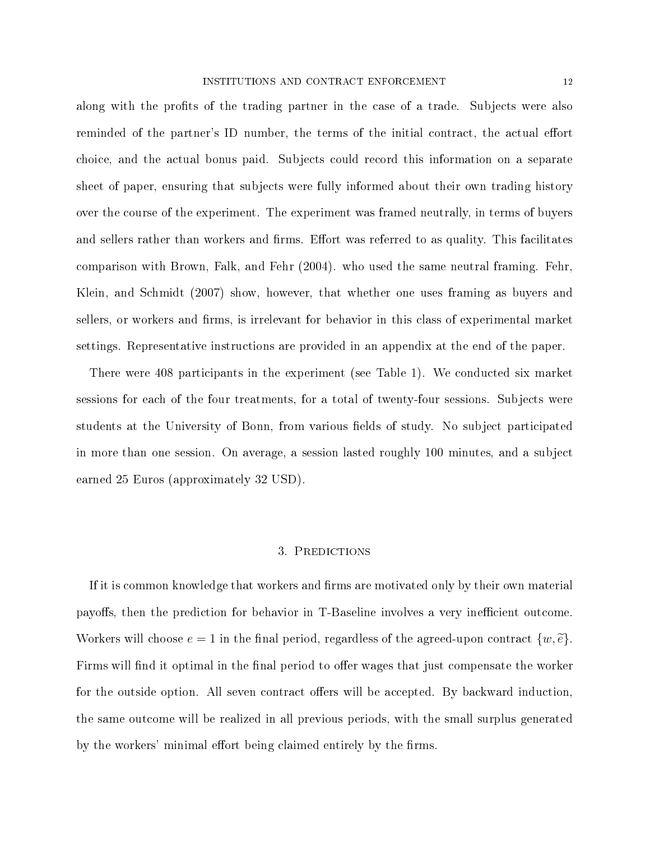along with the profits of the trading partner in the case of a trade. Subjects were also reminded of the partner's ID number, the terms of the initial contract, the actual effort choice, and the actual bonus paid. Subjects could record this information on a separate sheet of paper, ensuring that subjects were fully informed about their own trading history over the course of the experiment. The experiment was framed neutrally, in terms of buyers and sellers rather than workers and firms. Effort was referred to as quality. This facilitates comparison with Brown, Falk, and Fehr (2004). who used the same neutral framing. Fehr, Klein, and Schmidt (2007) show, however, that whether one uses framing as buyers and sellers, or workers and firms, is irrelevant for behavior in this class of experimental market settings. Representative instructions are provided in an appendix at the end of the paper.

There were 408 participants in the experiment (see Table 1). We conducted six market sessions for each of the four treatments, for a total of twenty-four sessions. Subjects were students at the University of Bonn, from various fields of study. No subject participated in more than one session. On average, a session lasted roughly 100 minutes, and a subject earned 25 Euros (approximately 32 USD).

#### 3. Predictions

If it is common knowledge that workers and firms are motivated only by their own material payoffs, then the prediction for behavior in T-Baseline involves a very inefficient outcome. Workers will choose  $e = 1$  in the final period, regardless of the agreed-upon contract  $\{w, \tilde{e}\}.$ Firms will find it optimal in the final period to offer wages that just compensate the worker for the outside option. All seven contract offers will be accepted. By backward induction, the same outcome will be realized in all previous periods, with the small surplus generated by the workers' minimal effort being claimed entirely by the firms.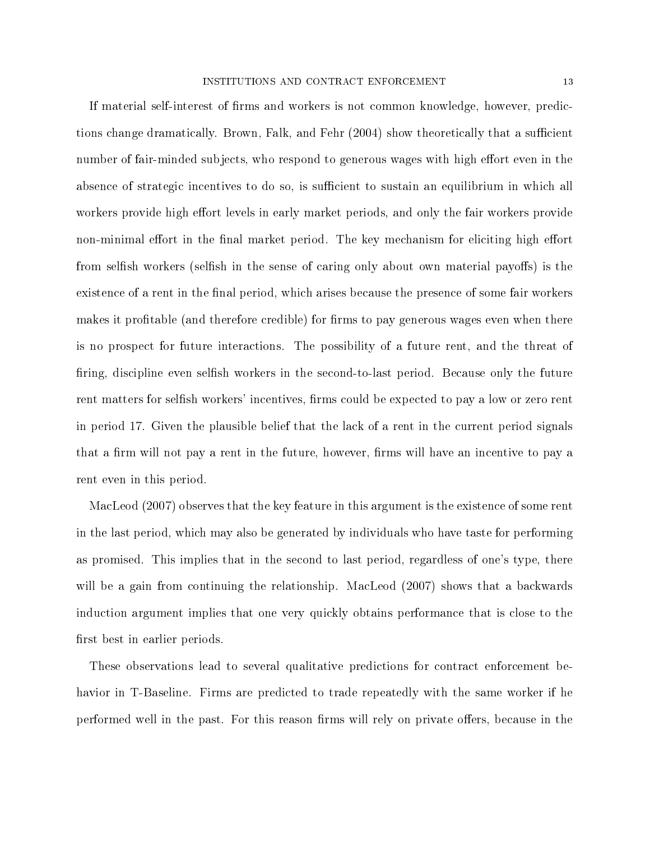If material self-interest of firms and workers is not common knowledge, however, predictions change dramatically. Brown, Falk, and Fehr (2004) show theoretically that a sufficient number of fair-minded subjects, who respond to generous wages with high effort even in the absence of strategic incentives to do so, is sufficient to sustain an equilibrium in which all workers provide high effort levels in early market periods, and only the fair workers provide non-minimal effort in the final market period. The key mechanism for eliciting high effort from selfish workers (selfish in the sense of caring only about own material payoffs) is the existence of a rent in the final period, which arises because the presence of some fair workers makes it profitable (and therefore credible) for firms to pay generous wages even when there is no prospect for future interactions. The possibility of a future rent, and the threat of firing, discipline even selfish workers in the second-to-last period. Because only the future rent matters for selfish workers' incentives, firms could be expected to pay a low or zero rent in period 17. Given the plausible belief that the lack of a rent in the current period signals that a firm will not pay a rent in the future, however, firms will have an incentive to pay a rent even in this period.

MacLeod (2007) observes that the key feature in this argument is the existence of some rent in the last period, which may also be generated by individuals who have taste for performing as promised. This implies that in the second to last period, regardless of one's type, there will be a gain from continuing the relationship. MacLeod (2007) shows that a backwards induction argument implies that one very quickly obtains performance that is close to the first best in earlier periods.

These observations lead to several qualitative predictions for contract enforcement behavior in T-Baseline. Firms are predicted to trade repeatedly with the same worker if he performed well in the past. For this reason firms will rely on private offers, because in the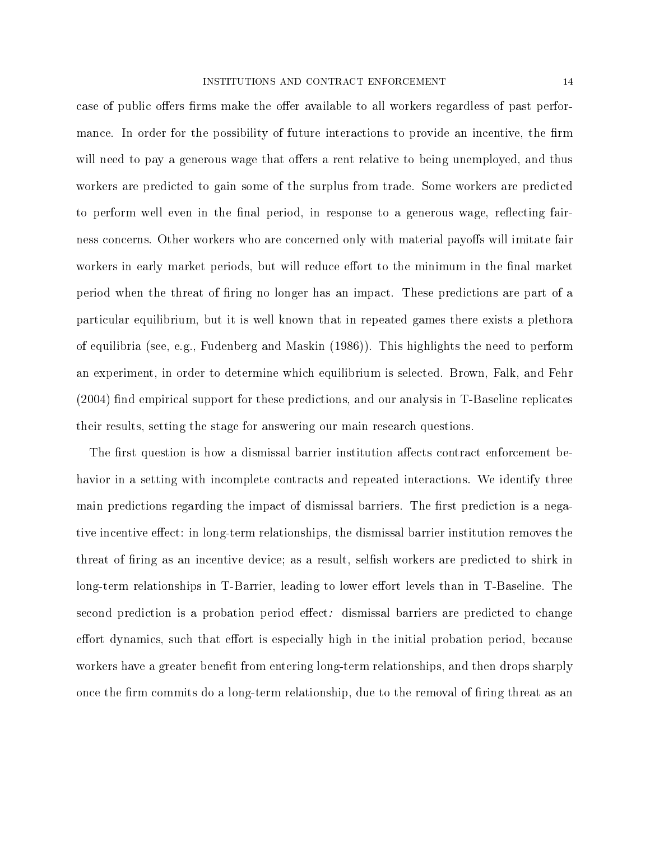case of public offers firms make the offer available to all workers regardless of past performance. In order for the possibility of future interactions to provide an incentive, the firm will need to pay a generous wage that offers a rent relative to being unemployed, and thus workers are predicted to gain some of the surplus from trade. Some workers are predicted to perform well even in the final period, in response to a generous wage, reflecting fairness concerns. Other workers who are concerned only with material payoffs will imitate fair workers in early market periods, but will reduce effort to the minimum in the final market period when the threat of firing no longer has an impact. These predictions are part of a particular equilibrium, but it is well known that in repeated games there exists a plethora of equilibria (see, e.g., Fudenberg and Maskin (1986)). This highlights the need to perform an experiment, in order to determine which equilibrium is selected. Brown, Falk, and Fehr  $(2004)$  find empirical support for these predictions, and our analysis in T-Baseline replicates their results, setting the stage for answering our main research questions.

The first question is how a dismissal barrier institution affects contract enforcement behavior in a setting with incomplete contracts and repeated interactions. We identify three main predictions regarding the impact of dismissal barriers. The first prediction is a negative incentive effect: in long-term relationships, the dismissal barrier institution removes the threat of firing as an incentive device; as a result, selfish workers are predicted to shirk in long-term relationships in T-Barrier, leading to lower effort levels than in T-Baseline. The second prediction is a probation period effect: dismissal barriers are predicted to change effort dynamics, such that effort is especially high in the initial probation period, because workers have a greater benefit from entering long-term relationships, and then drops sharply once the firm commits do a long-term relationship, due to the removal of firing threat as an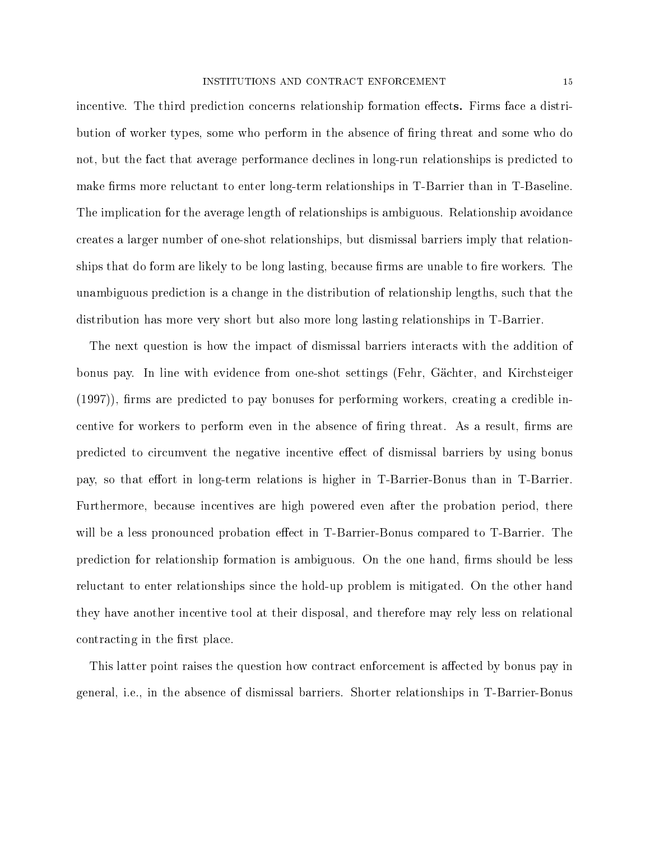incentive. The third prediction concerns relationship formation effects. Firms face a distribution of worker types, some who perform in the absence of firing threat and some who do not, but the fact that average performance declines in long-run relationships is predicted to make firms more reluctant to enter long-term relationships in T-Barrier than in T-Baseline. The implication for the average length of relationships is ambiguous. Relationship avoidance creates a larger number of one-shot relationships, but dismissal barriers imply that relationships that do form are likely to be long lasting, because firms are unable to fire workers. The unambiguous prediction is a change in the distribution of relationship lengths, such that the distribution has more very short but also more long lasting relationships in T-Barrier.

The next question is how the impact of dismissal barriers interacts with the addition of bonus pay. In line with evidence from one-shot settings (Fehr, Gächter, and Kirchsteiger  $(1997)$ , firms are predicted to pay bonuses for performing workers, creating a credible incentive for workers to perform even in the absence of firing threat. As a result, firms are predicted to circumvent the negative incentive effect of dismissal barriers by using bonus pay, so that effort in long-term relations is higher in T-Barrier-Bonus than in T-Barrier. Furthermore, because incentives are high powered even after the probation period, there will be a less pronounced probation effect in T-Barrier-Bonus compared to T-Barrier. The prediction for relationship formation is ambiguous. On the one hand, firms should be less reluctant to enter relationships since the hold-up problem is mitigated. On the other hand they have another incentive tool at their disposal, and therefore may rely less on relational contracting in the first place.

This latter point raises the question how contract enforcement is affected by bonus pay in general, i.e., in the absence of dismissal barriers. Shorter relationships in T-Barrier-Bonus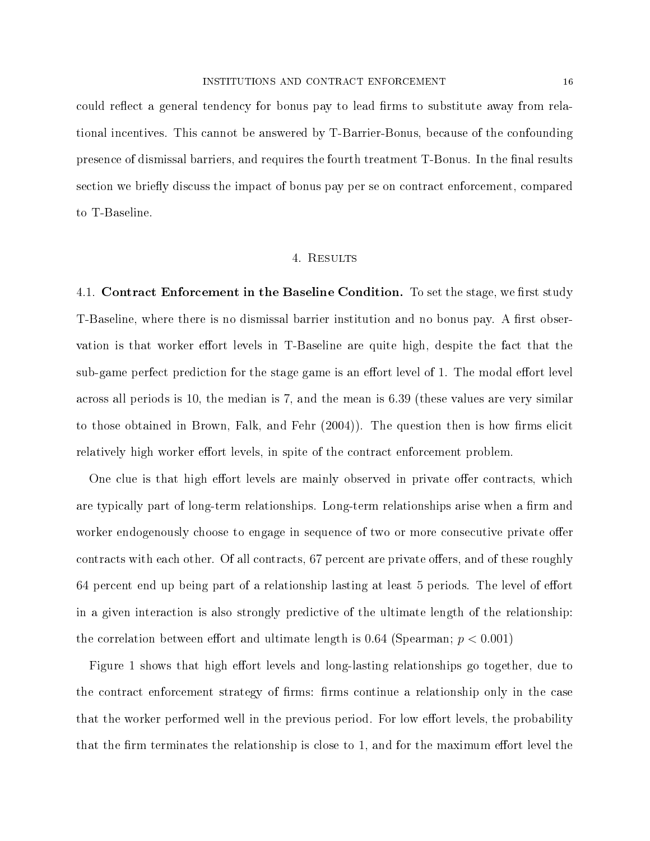could reflect a general tendency for bonus pay to lead firms to substitute away from relational incentives. This cannot be answered by T-Barrier-Bonus, because of the confounding presence of dismissal barriers, and requires the fourth treatment T-Bonus. In the final results section we briefly discuss the impact of bonus pay per se on contract enforcement, compared to T-Baseline.

#### 4. Results

4.1. Contract Enforcement in the Baseline Condition. To set the stage, we first study T-Baseline, where there is no dismissal barrier institution and no bonus pay. A first observation is that worker effort levels in T-Baseline are quite high, despite the fact that the sub-game perfect prediction for the stage game is an effort level of 1. The modal effort level across all periods is 10, the median is 7, and the mean is 6.39 (these values are very similar to those obtained in Brown, Falk, and Fehr  $(2004)$ ). The question then is how firms elicit relatively high worker effort levels, in spite of the contract enforcement problem.

One clue is that high effort levels are mainly observed in private offer contracts, which are typically part of long-term relationships. Long-term relationships arise when a firm and worker endogenously choose to engage in sequence of two or more consecutive private offer contracts with each other. Of all contracts, 67 percent are private offers, and of these roughly  $64$  percent end up being part of a relationship lasting at least 5 periods. The level of effort in a given interaction is also strongly predictive of the ultimate length of the relationship: the correlation between effort and ultimate length is  $0.64$  (Spearman;  $p < 0.001$ )

Figure 1 shows that high effort levels and long-lasting relationships go together, due to the contract enforcement strategy of firms: firms continue a relationship only in the case that the worker performed well in the previous period. For low effort levels, the probability that the firm terminates the relationship is close to  $1$ , and for the maximum effort level the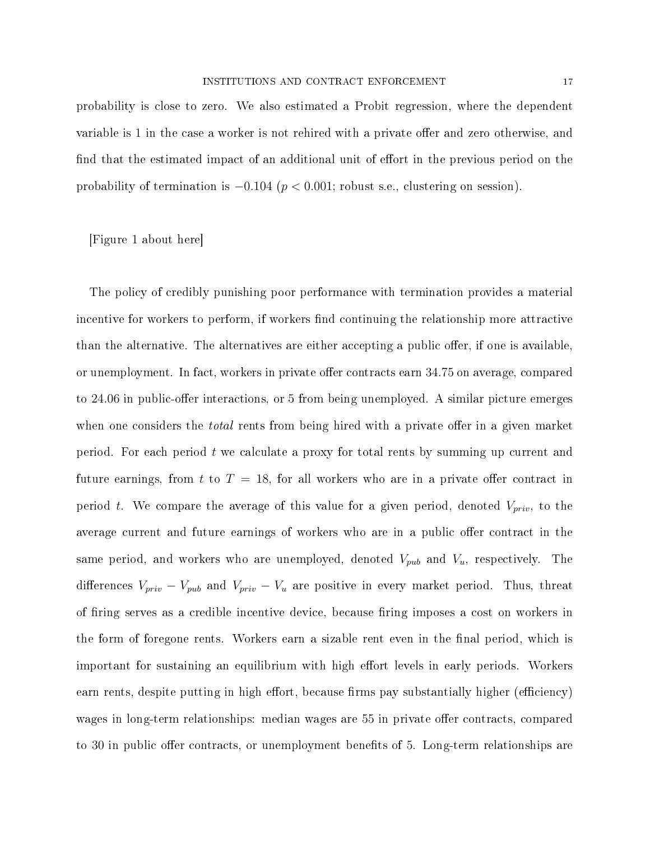probability is close to zero. We also estimated a Probit regression, where the dependent variable is 1 in the case a worker is not rehired with a private offer and zero otherwise, and find that the estimated impact of an additional unit of effort in the previous period on the probability of termination is  $-0.104$  ( $p < 0.001$ ; robust s.e., clustering on session).

[Figure 1 about here]

The policy of credibly punishing poor performance with termination provides a material incentive for workers to perform, if workers find continuing the relationship more attractive than the alternative. The alternatives are either accepting a public offer, if one is available. or unemployment. In fact, workers in private offer contracts earn 34.75 on average, compared to 24.06 in public-offer interactions, or 5 from being unemployed. A similar picture emerges when one considers the *total* rents from being hired with a private offer in a given market period. For each period t we calculate a proxy for total rents by summing up current and future earnings, from t to  $T = 18$ , for all workers who are in a private offer contract in period t. We compare the average of this value for a given period, denoted  $V_{priv}$ , to the average current and future earnings of workers who are in a public offer contract in the same period, and workers who are unemployed, denoted  $V_{pub}$  and  $V_u$ , respectively. The differences  $V_{priv} - V_{pub}$  and  $V_{priv} - V_{u}$  are positive in every market period. Thus, threat of firing serves as a credible incentive device, because firing imposes a cost on workers in the form of foregone rents. Workers earn a sizable rent even in the final period, which is important for sustaining an equilibrium with high effort levels in early periods. Workers earn rents, despite putting in high effort, because firms pay substantially higher (efficiency) wages in long-term relationships: median wages are 55 in private offer contracts, compared to 30 in public offer contracts, or unemployment benefits of 5. Long-term relationships are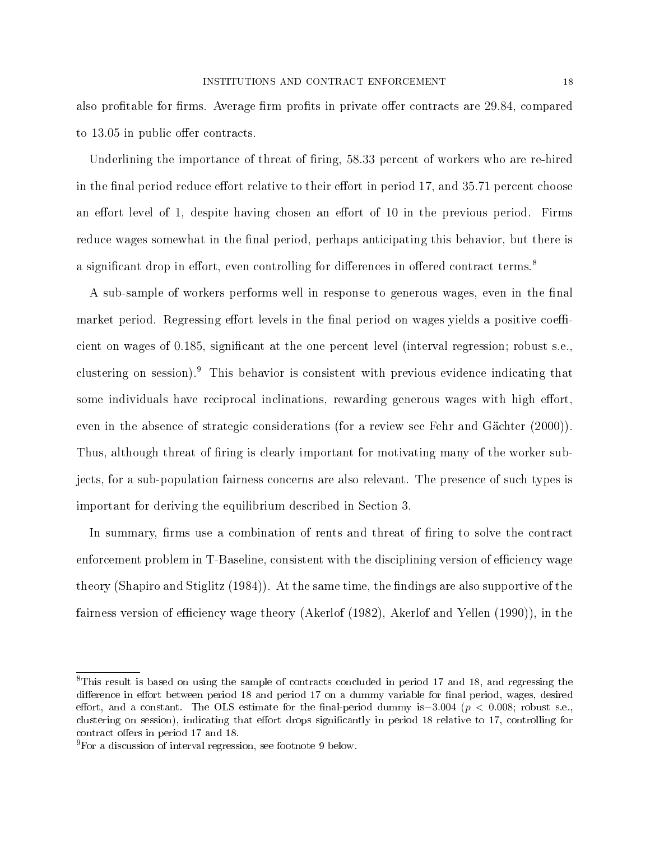also profitable for firms. Average firm profits in private offer contracts are 29.84, compared to 13.05 in public offer contracts.

Underlining the importance of threat of firing, 58.33 percent of workers who are re-hired in the final period reduce effort relative to their effort in period 17, and 35.71 percent choose an effort level of 1, despite having chosen an effort of 10 in the previous period. Firms reduce wages somewhat in the final period, perhaps anticipating this behavior, but there is a significant drop in effort, even controlling for differences in offered contract terms.<sup>8</sup>

A sub-sample of workers performs well in response to generous wages, even in the final market period. Regressing effort levels in the final period on wages yields a positive coefficient on wages of 0.185, signicant at the one percent level (interval regression; robust s.e., clustering on session).<sup>9</sup> This behavior is consistent with previous evidence indicating that some individuals have reciprocal inclinations, rewarding generous wages with high effort, even in the absence of strategic considerations (for a review see Fehr and Gächter (2000)). Thus, although threat of firing is clearly important for motivating many of the worker subjects, for a sub-population fairness concerns are also relevant. The presence of such types is important for deriving the equilibrium described in Section 3.

In summary, firms use a combination of rents and threat of firing to solve the contract enforcement problem in T-Baseline, consistent with the disciplining version of efficiency wage theory (Shapiro and Stiglitz  $(1984)$ ). At the same time, the findings are also supportive of the fairness version of efficiency wage theory (Akerlof (1982), Akerlof and Yellen (1990)), in the

<sup>&</sup>lt;sup>8</sup>This result is based on using the sample of contracts concluded in period 17 and 18, and regressing the difference in effort between period 18 and period 17 on a dummy variable for final period, wages, desired effort, and a constant. The OLS estimate for the final-period dummy is–3.004 ( $p < 0.008$ ; robust s.e., clustering on session), indicating that effort drops significantly in period 18 relative to 17, controlling for contract offers in period 17 and 18.

 $^{9}$ For a discussion of interval regression, see footnote 9 below.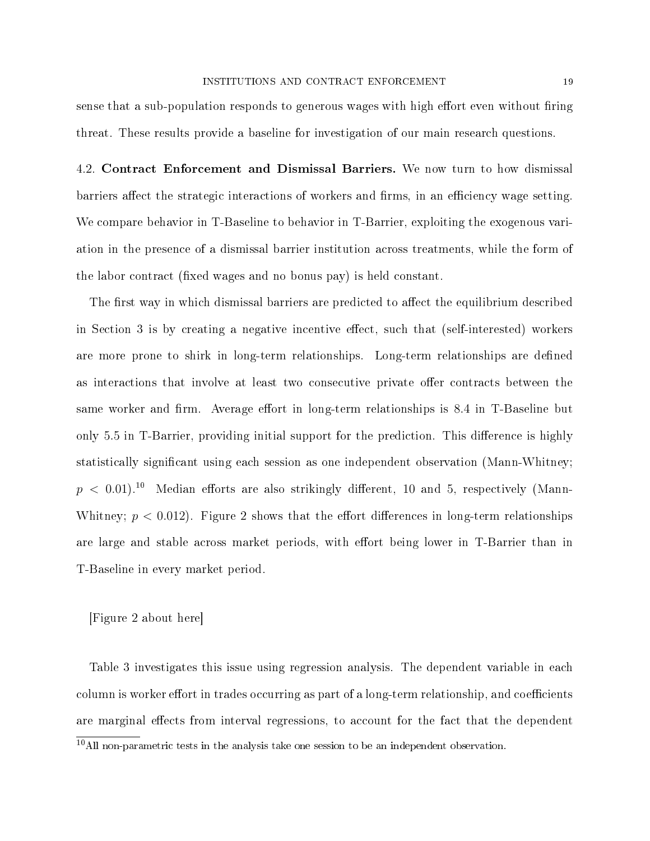sense that a sub-population responds to generous wages with high effort even without firing threat. These results provide a baseline for investigation of our main research questions.

4.2. Contract Enforcement and Dismissal Barriers. We now turn to how dismissal barriers affect the strategic interactions of workers and firms, in an efficiency wage setting. We compare behavior in T-Baseline to behavior in T-Barrier, exploiting the exogenous variation in the presence of a dismissal barrier institution across treatments, while the form of the labor contract (fixed wages and no bonus pay) is held constant.

The first way in which dismissal barriers are predicted to affect the equilibrium described in Section 3 is by creating a negative incentive effect, such that (self-interested) workers are more prone to shirk in long-term relationships. Long-term relationships are defined as interactions that involve at least two consecutive private offer contracts between the same worker and firm. Average effort in long-term relationships is 8.4 in T-Baseline but only 5.5 in T-Barrier, providing initial support for the prediction. This difference is highly statistically signicant using each session as one independent observation (Mann-Whitney;  $p < 0.01$ .<sup>10</sup> Median efforts are also strikingly different, 10 and 5, respectively (Mann-Whitney;  $p < 0.012$ ). Figure 2 shows that the effort differences in long-term relationships are large and stable across market periods, with effort being lower in T-Barrier than in T-Baseline in every market period.

[Figure 2 about here]

Table 3 investigates this issue using regression analysis. The dependent variable in each column is worker effort in trades occurring as part of a long-term relationship, and coefficients are marginal effects from interval regressions, to account for the fact that the dependent

 $10$ All non-parametric tests in the analysis take one session to be an independent observation.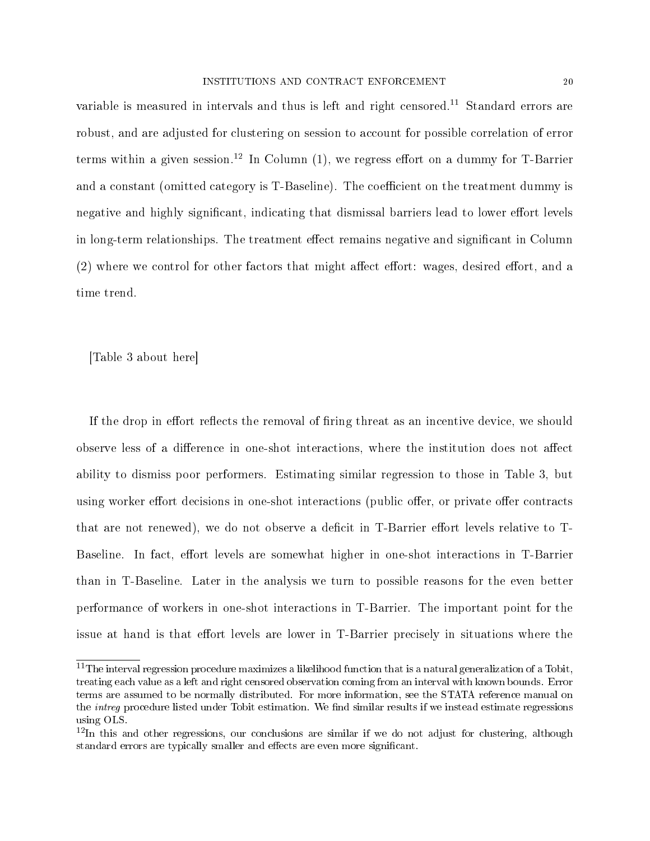variable is measured in intervals and thus is left and right censored.<sup>11</sup> Standard errors are robust, and are adjusted for clustering on session to account for possible correlation of error terms within a given session.<sup>12</sup> In Column  $(1)$ , we regress effort on a dummy for T-Barrier and a constant (omitted category is T-Baseline). The coefficient on the treatment dummy is negative and highly significant, indicating that dismissal barriers lead to lower effort levels in long-term relationships. The treatment effect remains negative and significant in Column  $(2)$  where we control for other factors that might affect effort: wages, desired effort, and a time trend.

[Table 3 about here]

If the drop in effort reflects the removal of firing threat as an incentive device, we should observe less of a difference in one-shot interactions, where the institution does not affect ability to dismiss poor performers. Estimating similar regression to those in Table 3, but using worker effort decisions in one-shot interactions (public offer, or private offer contracts that are not renewed), we do not observe a deficit in T-Barrier effort levels relative to T-Baseline. In fact, effort levels are somewhat higher in one-shot interactions in T-Barrier than in T-Baseline. Later in the analysis we turn to possible reasons for the even better performance of workers in one-shot interactions in T-Barrier. The important point for the issue at hand is that effort levels are lower in T-Barrier precisely in situations where the

 $11$ The interval regression procedure maximizes a likelihood function that is a natural generalization of a Tobit, treating each value as a left and right censored observation coming from an interval with known bounds. Error terms are assumed to be normally distributed. For more information, see the STATA reference manual on the *intreg* procedure listed under Tobit estimation. We find similar results if we instead estimate regressions using OLS.

 $12$ In this and other regressions, our conclusions are similar if we do not adjust for clustering, although standard errors are typically smaller and effects are even more significant.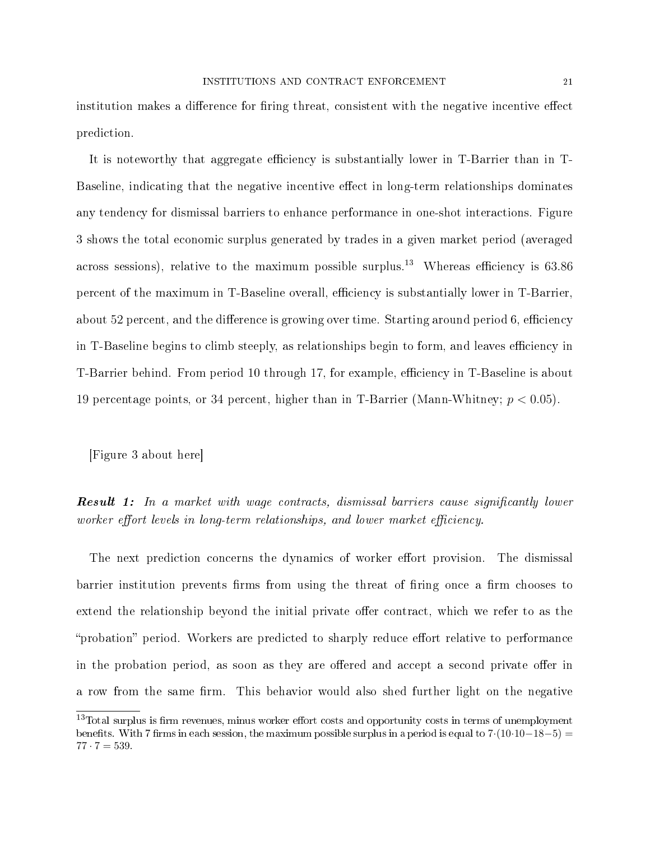institution makes a difference for firing threat, consistent with the negative incentive effect prediction.

It is noteworthy that aggregate efficiency is substantially lower in T-Barrier than in T-Baseline, indicating that the negative incentive effect in long-term relationships dominates any tendency for dismissal barriers to enhance performance in one-shot interactions. Figure 3 shows the total economic surplus generated by trades in a given market period (averaged across sessions), relative to the maximum possible surplus.<sup>13</sup> Whereas efficiency is  $63.86$ percent of the maximum in T-Baseline overall, efficiency is substantially lower in T-Barrier, about 52 percent, and the difference is growing over time. Starting around period 6, efficiency in T-Baseline begins to climb steeply, as relationships begin to form, and leaves efficiency in T-Barrier behind. From period 10 through 17, for example, efficiency in T-Baseline is about 19 percentage points, or 34 percent, higher than in T-Barrier (Mann-Whitney;  $p < 0.05$ ).

[Figure 3 about here]

**Result 1:** In a market with wage contracts, dismissal barriers cause significantly lower worker effort levels in long-term relationships, and lower market efficiency.

The next prediction concerns the dynamics of worker effort provision. The dismissal barrier institution prevents firms from using the threat of firing once a firm chooses to extend the relationship beyond the initial private offer contract, which we refer to as the "probation" period. Workers are predicted to sharply reduce effort relative to performance in the probation period, as soon as they are offered and accept a second private offer in a row from the same firm. This behavior would also shed further light on the negative

 $13$ Total surplus is firm revenues, minus worker effort costs and opportunity costs in terms of unemployment benefits. With 7 firms in each session, the maximum possible surplus in a period is equal to  $7 \cdot (10 \cdot 10-18-5) =$  $77 \cdot 7 = 539.$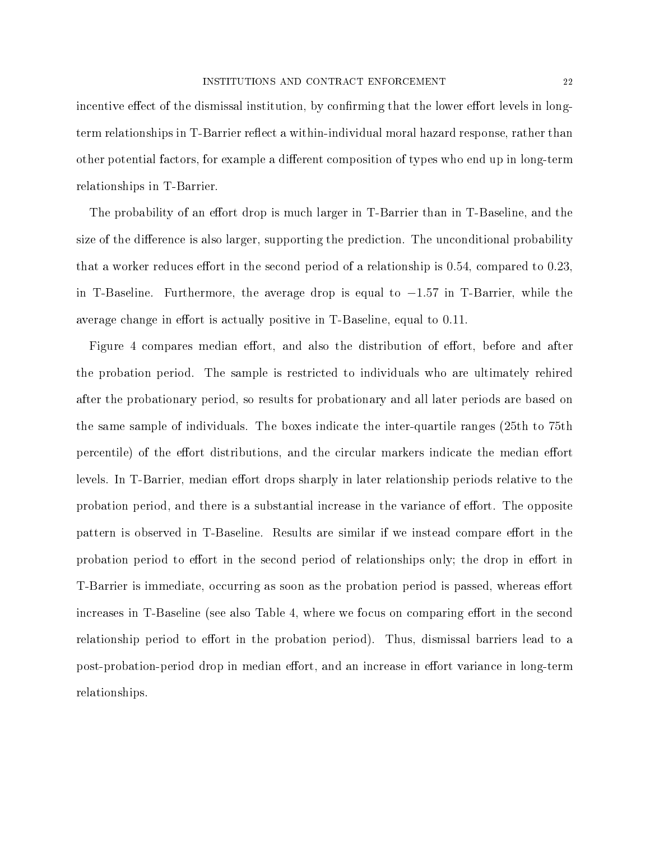incentive effect of the dismissal institution, by confirming that the lower effort levels in longterm relationships in T-Barrier reflect a within-individual moral hazard response, rather than other potential factors, for example a different composition of types who end up in long-term relationships in T-Barrier.

The probability of an effort drop is much larger in T-Barrier than in T-Baseline, and the size of the difference is also larger, supporting the prediction. The unconditional probability that a worker reduces effort in the second period of a relationship is  $0.54$ , compared to  $0.23$ , in T-Baseline. Furthermore, the average drop is equal to −1.57 in T-Barrier, while the average change in effort is actually positive in T-Baseline, equal to 0.11.

Figure 4 compares median effort, and also the distribution of effort, before and after the probation period. The sample is restricted to individuals who are ultimately rehired after the probationary period, so results for probationary and all later periods are based on the same sample of individuals. The boxes indicate the inter-quartile ranges (25th to 75th percentile) of the effort distributions, and the circular markers indicate the median effort levels. In T-Barrier, median effort drops sharply in later relationship periods relative to the probation period, and there is a substantial increase in the variance of effort. The opposite pattern is observed in T-Baseline. Results are similar if we instead compare effort in the probation period to effort in the second period of relationships only; the drop in effort in T-Barrier is immediate, occurring as soon as the probation period is passed, whereas effort increases in T-Baseline (see also Table 4, where we focus on comparing effort in the second relationship period to effort in the probation period). Thus, dismissal barriers lead to a post-probation-period drop in median effort, and an increase in effort variance in long-term relationships.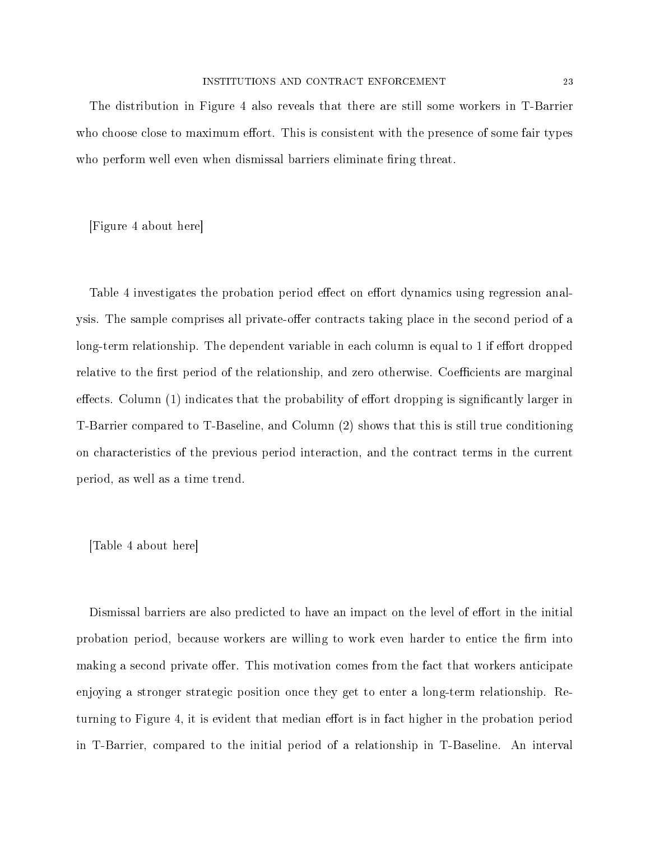#### INSTITUTIONS AND CONTRACT ENFORCEMENT 23

The distribution in Figure 4 also reveals that there are still some workers in T-Barrier who choose close to maximum effort. This is consistent with the presence of some fair types who perform well even when dismissal barriers eliminate firing threat.

[Figure 4 about here]

Table 4 investigates the probation period effect on effort dynamics using regression analysis. The sample comprises all private-offer contracts taking place in the second period of a long-term relationship. The dependent variable in each column is equal to 1 if effort dropped relative to the first period of the relationship, and zero otherwise. Coefficients are marginal effects. Column  $(1)$  indicates that the probability of effort dropping is significantly larger in T-Barrier compared to T-Baseline, and Column (2) shows that this is still true conditioning on characteristics of the previous period interaction, and the contract terms in the current period, as well as a time trend.

[Table 4 about here]

Dismissal barriers are also predicted to have an impact on the level of effort in the initial probation period, because workers are willing to work even harder to entice the firm into making a second private offer. This motivation comes from the fact that workers anticipate enjoying a stronger strategic position once they get to enter a long-term relationship. Returning to Figure 4, it is evident that median effort is in fact higher in the probation period in T-Barrier, compared to the initial period of a relationship in T-Baseline. An interval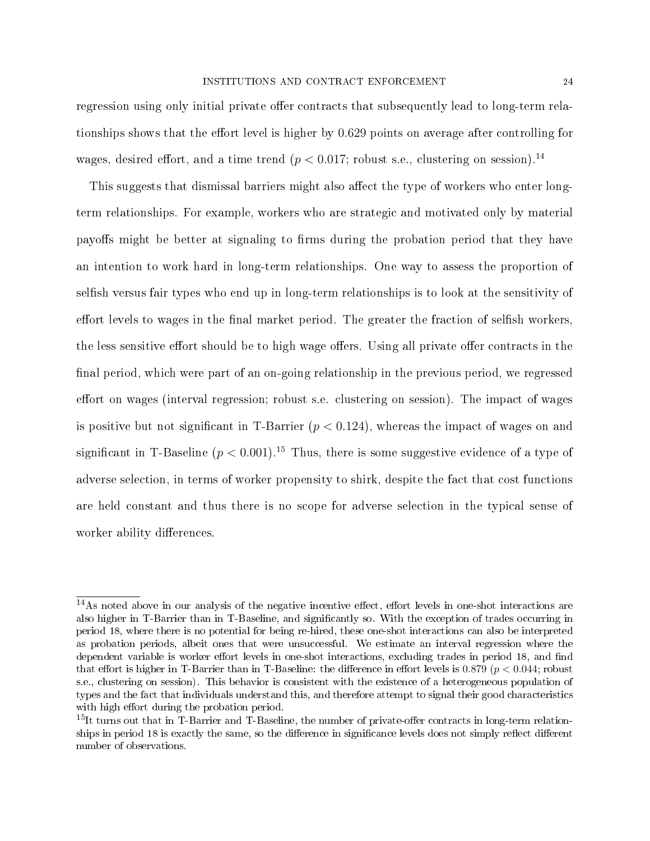regression using only initial private offer contracts that subsequently lead to long-term relationships shows that the effort level is higher by 0.629 points on average after controlling for wages, desired effort, and a time trend ( $p < 0.017$ ; robust s.e., clustering on session).<sup>14</sup>

This suggests that dismissal barriers might also affect the type of workers who enter longterm relationships. For example, workers who are strategic and motivated only by material payoffs might be better at signaling to firms during the probation period that they have an intention to work hard in long-term relationships. One way to assess the proportion of selfish versus fair types who end up in long-term relationships is to look at the sensitivity of effort levels to wages in the final market period. The greater the fraction of selfish workers, the less sensitive effort should be to high wage offers. Using all private offer contracts in the final period, which were part of an on-going relationship in the previous period, we regressed effort on wages (interval regression; robust s.e. clustering on session). The impact of wages is positive but not significant in T-Barrier  $(p < 0.124)$ , whereas the impact of wages on and significant in T-Baseline  $(p < 0.001)$ .<sup>15</sup> Thus, there is some suggestive evidence of a type of adverse selection, in terms of worker propensity to shirk, despite the fact that cost functions are held constant and thus there is no scope for adverse selection in the typical sense of worker ability differences.

 $14$ As noted above in our analysis of the negative incentive effect, effort levels in one-shot interactions are also higher in T-Barrier than in T-Baseline, and significantly so. With the exception of trades occurring in period 18, where there is no potential for being re-hired, these one-shot interactions can also be interpreted as probation periods, albeit ones that were unsuccessful. We estimate an interval regression where the dependent variable is worker effort levels in one-shot interactions, excluding trades in period 18, and find that effort is higher in T-Barrier than in T-Baseline: the difference in effort levels is 0.879 ( $p < 0.044$ ; robust s.e., clustering on session). This behavior is consistent with the existence of a heterogeneous population of types and the fact that individuals understand this, and therefore attempt to signal their good characteristics with high effort during the probation period.

 $15$ It turns out that in T-Barrier and T-Baseline, the number of private-offer contracts in long-term relationships in period 18 is exactly the same, so the difference in significance levels does not simply reflect different number of observations.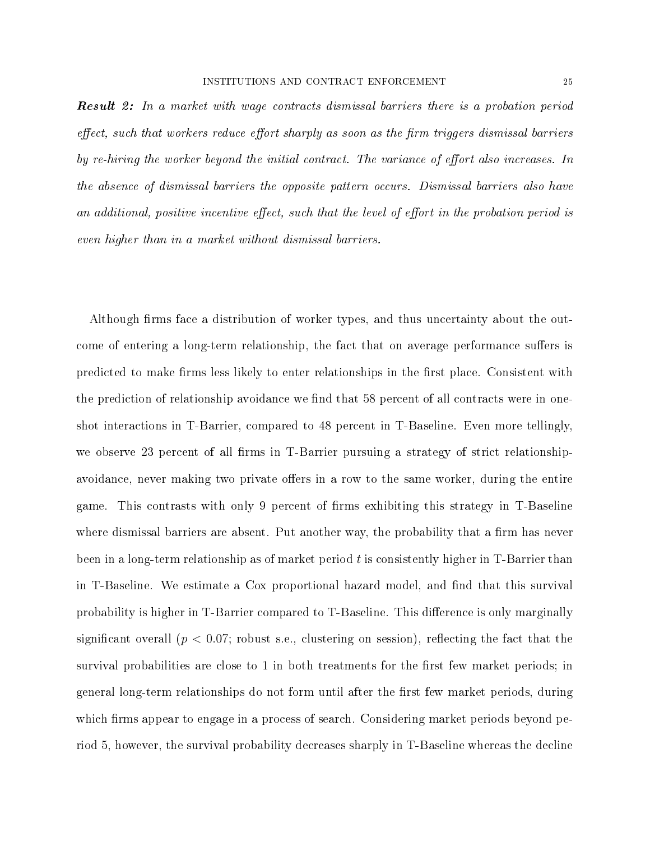**Result 2:** In a market with wage contracts dismissal barriers there is a probation period effect, such that workers reduce effort sharply as soon as the firm triggers dismissal barriers by re-hiring the worker beyond the initial contract. The variance of effort also increases. In the absence of dismissal barriers the opposite pattern occurs. Dismissal barriers also have an additional, positive incentive effect, such that the level of effort in the probation period is even higher than in a market without dismissal barriers.

Although firms face a distribution of worker types, and thus uncertainty about the outcome of entering a long-term relationship, the fact that on average performance suffers is predicted to make firms less likely to enter relationships in the first place. Consistent with the prediction of relationship avoidance we find that 58 percent of all contracts were in oneshot interactions in T-Barrier, compared to 48 percent in T-Baseline. Even more tellingly, we observe 23 percent of all firms in T-Barrier pursuing a strategy of strict relationshipavoidance, never making two private offers in a row to the same worker, during the entire game. This contrasts with only 9 percent of firms exhibiting this strategy in T-Baseline where dismissal barriers are absent. Put another way, the probability that a firm has never been in a long-term relationship as of market period  $t$  is consistently higher in T-Barrier than in T-Baseline. We estimate a Cox proportional hazard model, and find that this survival probability is higher in T-Barrier compared to T-Baseline. This difference is only marginally significant overall ( $p < 0.07$ ; robust s.e., clustering on session), reflecting the fact that the survival probabilities are close to 1 in both treatments for the first few market periods; in general long-term relationships do not form until after the first few market periods, during which firms appear to engage in a process of search. Considering market periods beyond period 5, however, the survival probability decreases sharply in T-Baseline whereas the decline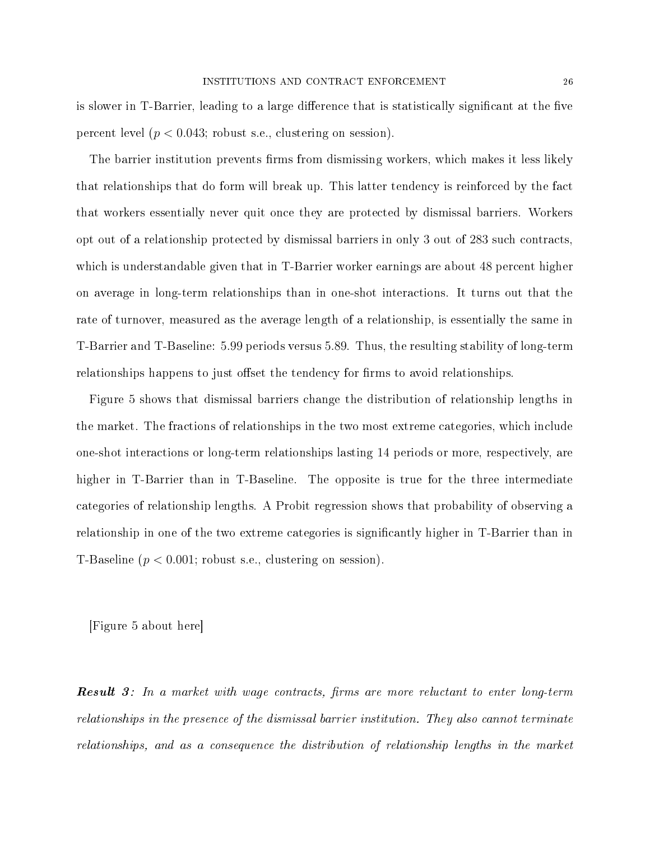is slower in T-Barrier, leading to a large difference that is statistically significant at the five percent level  $(p < 0.043;$  robust s.e., clustering on session).

The barrier institution prevents firms from dismissing workers, which makes it less likely that relationships that do form will break up. This latter tendency is reinforced by the fact that workers essentially never quit once they are protected by dismissal barriers. Workers opt out of a relationship protected by dismissal barriers in only 3 out of 283 such contracts, which is understandable given that in T-Barrier worker earnings are about 48 percent higher on average in long-term relationships than in one-shot interactions. It turns out that the rate of turnover, measured as the average length of a relationship, is essentially the same in T-Barrier and T-Baseline: 5.99 periods versus 5.89. Thus, the resulting stability of long-term relationships happens to just offset the tendency for firms to avoid relationships.

Figure 5 shows that dismissal barriers change the distribution of relationship lengths in the market. The fractions of relationships in the two most extreme categories, which include one-shot interactions or long-term relationships lasting 14 periods or more, respectively, are higher in T-Barrier than in T-Baseline. The opposite is true for the three intermediate categories of relationship lengths. A Probit regression shows that probability of observing a relationship in one of the two extreme categories is significantly higher in T-Barrier than in T-Baseline  $(p < 0.001;$  robust s.e., clustering on session).

[Figure 5 about here]

**Result** 3: In a market with wage contracts, firms are more reluctant to enter long-term relationships in the presence of the dismissal barrier institution. They also cannot terminate relationships, and as a consequence the distribution of relationship lengths in the market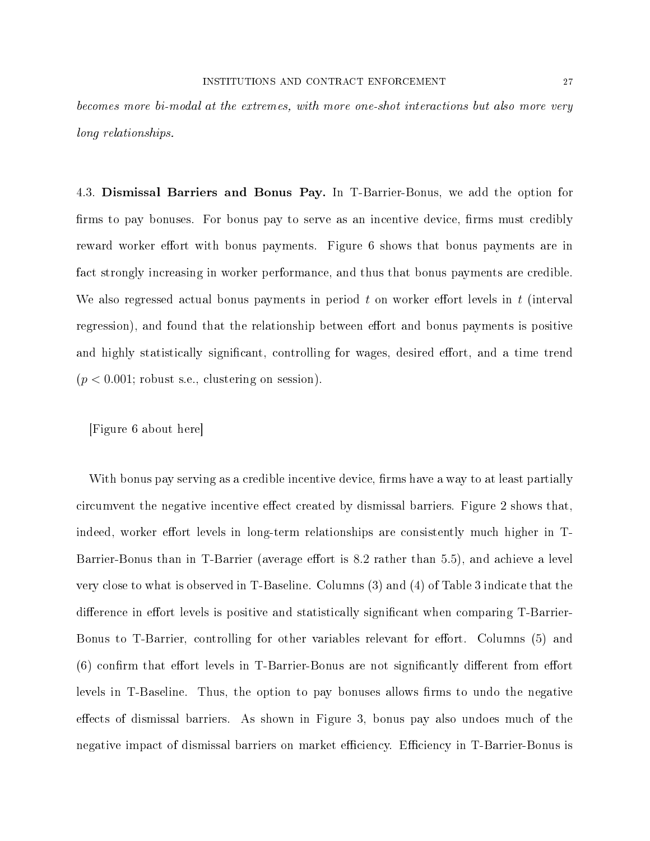#### INSTITUTIONS AND CONTRACT ENFORCEMENT 27

becomes more bi-modal at the extremes, with more one-shot interactions but also more very long relationships.

4.3. Dismissal Barriers and Bonus Pay. In T-Barrier-Bonus, we add the option for firms to pay bonuses. For bonus pay to serve as an incentive device, firms must credibly reward worker effort with bonus payments. Figure 6 shows that bonus payments are in fact strongly increasing in worker performance, and thus that bonus payments are credible. We also regressed actual bonus payments in period  $t$  on worker effort levels in  $t$  (interval regression), and found that the relationship between effort and bonus payments is positive and highly statistically significant, controlling for wages, desired effort, and a time trend  $(p < 0.001$ ; robust s.e., clustering on session).

[Figure 6 about here]

With bonus pay serving as a credible incentive device, firms have a way to at least partially circumvent the negative incentive effect created by dismissal barriers. Figure 2 shows that, indeed, worker effort levels in long-term relationships are consistently much higher in T-Barrier-Bonus than in T-Barrier (average effort is 8.2 rather than 5.5), and achieve a level very close to what is observed in T-Baseline. Columns (3) and (4) of Table 3 indicate that the difference in effort levels is positive and statistically significant when comparing T-Barrier-Bonus to T-Barrier, controlling for other variables relevant for effort. Columns (5) and  $(6)$  confirm that effort levels in T-Barrier-Bonus are not significantly different from effort levels in T-Baseline. Thus, the option to pay bonuses allows firms to undo the negative effects of dismissal barriers. As shown in Figure 3, bonus pay also undoes much of the negative impact of dismissal barriers on market efficiency. Efficiency in T-Barrier-Bonus is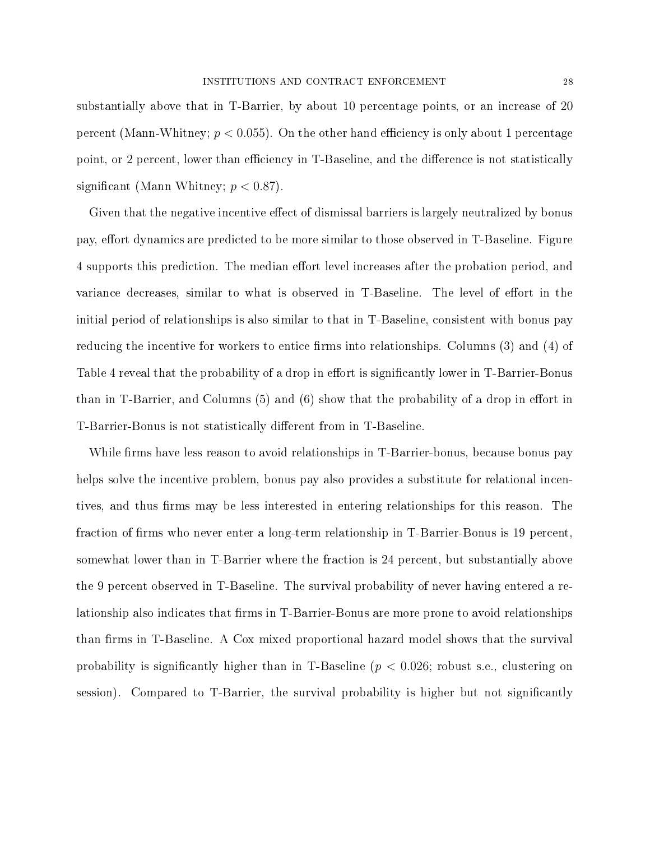substantially above that in T-Barrier, by about 10 percentage points, or an increase of 20 percent (Mann-Whitney;  $p < 0.055$ ). On the other hand efficiency is only about 1 percentage point, or 2 percent, lower than efficiency in T-Baseline, and the difference is not statistically significant (Mann Whitney;  $p < 0.87$ ).

Given that the negative incentive effect of dismissal barriers is largely neutralized by bonus pay, effort dynamics are predicted to be more similar to those observed in T-Baseline. Figure 4 supports this prediction. The median effort level increases after the probation period, and variance decreases, similar to what is observed in T-Baseline. The level of effort in the initial period of relationships is also similar to that in T-Baseline, consistent with bonus pay reducing the incentive for workers to entice firms into relationships. Columns  $(3)$  and  $(4)$  of Table 4 reveal that the probability of a drop in effort is significantly lower in T-Barrier-Bonus than in T-Barrier, and Columns  $(5)$  and  $(6)$  show that the probability of a drop in effort in T-Barrier-Bonus is not statistically different from in T-Baseline.

While firms have less reason to avoid relationships in T-Barrier-bonus, because bonus pay helps solve the incentive problem, bonus pay also provides a substitute for relational incentives, and thus firms may be less interested in entering relationships for this reason. The fraction of firms who never enter a long-term relationship in T-Barrier-Bonus is 19 percent. somewhat lower than in T-Barrier where the fraction is 24 percent, but substantially above the 9 percent observed in T-Baseline. The survival probability of never having entered a relationship also indicates that firms in T-Barrier-Bonus are more prone to avoid relationships than firms in T-Baseline. A Cox mixed proportional hazard model shows that the survival probability is significantly higher than in T-Baseline  $(p < 0.026$ ; robust s.e., clustering on session). Compared to T-Barrier, the survival probability is higher but not signicantly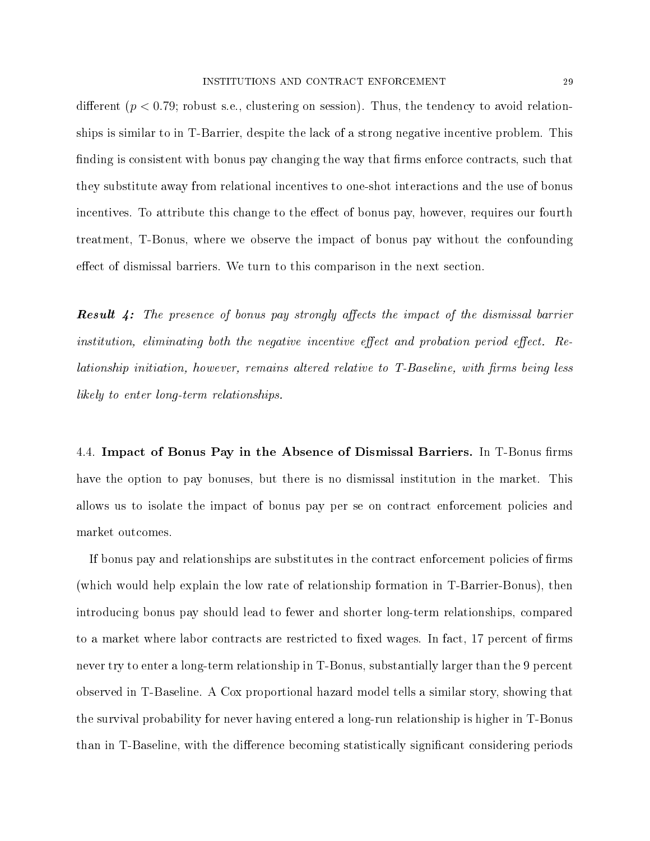different ( $p < 0.79$ ; robust s.e., clustering on session). Thus, the tendency to avoid relationships is similar to in T-Barrier, despite the lack of a strong negative incentive problem. This finding is consistent with bonus pay changing the way that firms enforce contracts, such that they substitute away from relational incentives to one-shot interactions and the use of bonus incentives. To attribute this change to the effect of bonus pay, however, requires our fourth treatment, T-Bonus, where we observe the impact of bonus pay without the confounding effect of dismissal barriers. We turn to this comparison in the next section.

**Result 4:** The presence of bonus pay strongly affects the impact of the dismissal barrier institution, eliminating both the negative incentive effect and probation period effect. Re $lationalization, however, remains altered relative to T-Baseline, with firms being less$ likely to enter long-term relationships.

4.4. Impact of Bonus Pay in the Absence of Dismissal Barriers. In T-Bonus firms have the option to pay bonuses, but there is no dismissal institution in the market. This allows us to isolate the impact of bonus pay per se on contract enforcement policies and market outcomes.

If bonus pay and relationships are substitutes in the contract enforcement policies of firms (which would help explain the low rate of relationship formation in T-Barrier-Bonus), then introducing bonus pay should lead to fewer and shorter long-term relationships, compared to a market where labor contracts are restricted to fixed wages. In fact,  $17$  percent of firms never try to enter a long-term relationship in T-Bonus, substantially larger than the 9 percent observed in T-Baseline. A Cox proportional hazard model tells a similar story, showing that the survival probability for never having entered a long-run relationship is higher in T-Bonus than in T-Baseline, with the difference becoming statistically significant considering periods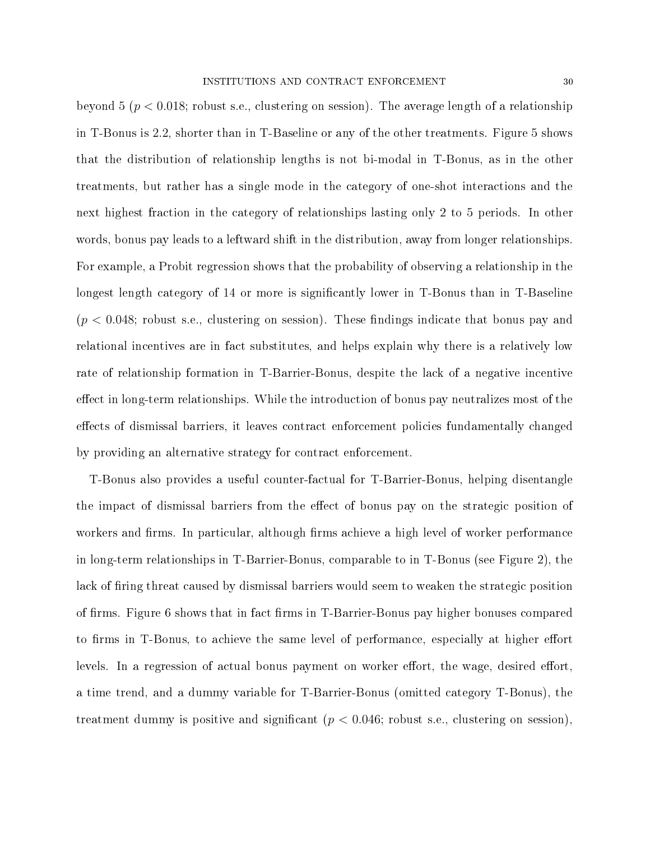beyond 5 ( $p < 0.018$ ; robust s.e., clustering on session). The average length of a relationship in T-Bonus is 2.2, shorter than in T-Baseline or any of the other treatments. Figure 5 shows that the distribution of relationship lengths is not bi-modal in T-Bonus, as in the other treatments, but rather has a single mode in the category of one-shot interactions and the next highest fraction in the category of relationships lasting only 2 to 5 periods. In other words, bonus pay leads to a leftward shift in the distribution, away from longer relationships. For example, a Probit regression shows that the probability of observing a relationship in the longest length category of 14 or more is significantly lower in T-Bonus than in T-Baseline  $(p < 0.048;$  robust s.e., clustering on session). These findings indicate that bonus pay and relational incentives are in fact substitutes, and helps explain why there is a relatively low rate of relationship formation in T-Barrier-Bonus, despite the lack of a negative incentive effect in long-term relationships. While the introduction of bonus pay neutralizes most of the effects of dismissal barriers, it leaves contract enforcement policies fundamentally changed by providing an alternative strategy for contract enforcement.

T-Bonus also provides a useful counter-factual for T-Barrier-Bonus, helping disentangle the impact of dismissal barriers from the effect of bonus pay on the strategic position of workers and firms. In particular, although firms achieve a high level of worker performance in long-term relationships in T-Barrier-Bonus, comparable to in T-Bonus (see Figure 2), the lack of firing threat caused by dismissal barriers would seem to weaken the strategic position of firms. Figure 6 shows that in fact firms in T-Barrier-Bonus pay higher bonuses compared to firms in T-Bonus, to achieve the same level of performance, especially at higher effort levels. In a regression of actual bonus payment on worker effort, the wage, desired effort. a time trend, and a dummy variable for T-Barrier-Bonus (omitted category T-Bonus), the treatment dummy is positive and significant  $(p < 0.046$ ; robust s.e., clustering on session),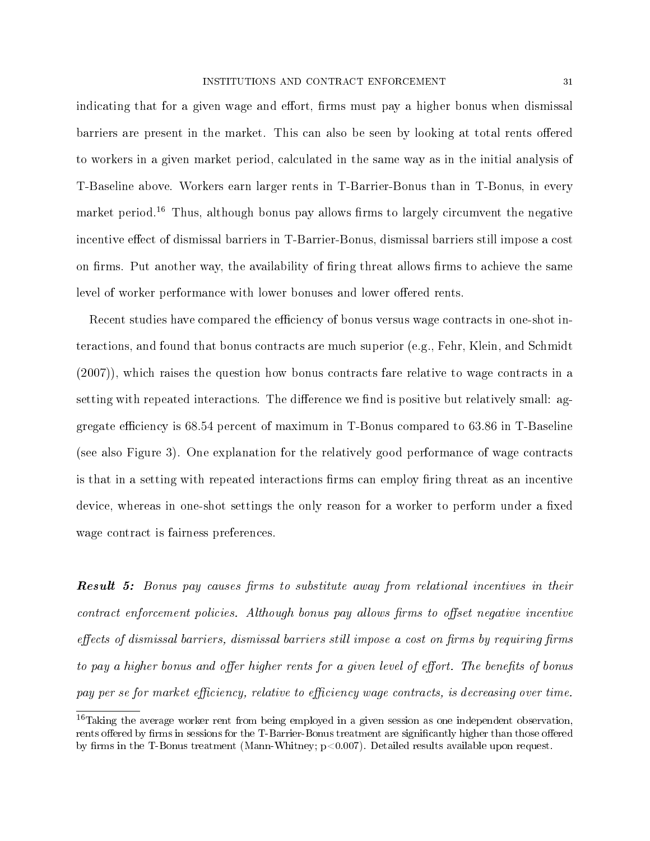indicating that for a given wage and effort, firms must pay a higher bonus when dismissal barriers are present in the market. This can also be seen by looking at total rents offered to workers in a given market period, calculated in the same way as in the initial analysis of T-Baseline above. Workers earn larger rents in T-Barrier-Bonus than in T-Bonus, in every market period.<sup>16</sup> Thus, although bonus pay allows firms to largely circumvent the negative incentive effect of dismissal barriers in T-Barrier-Bonus, dismissal barriers still impose a cost on firms. Put another way, the availability of firing threat allows firms to achieve the same level of worker performance with lower bonuses and lower offered rents.

Recent studies have compared the efficiency of bonus versus wage contracts in one-shot interactions, and found that bonus contracts are much superior (e.g., Fehr, Klein, and Schmidt (2007)), which raises the question how bonus contracts fare relative to wage contracts in a setting with repeated interactions. The difference we find is positive but relatively small: aggregate efficiency is  $68.54$  percent of maximum in T-Bonus compared to  $63.86$  in T-Baseline (see also Figure 3). One explanation for the relatively good performance of wage contracts is that in a setting with repeated interactions firms can employ firing threat as an incentive device, whereas in one-shot settings the only reason for a worker to perform under a fixed wage contract is fairness preferences.

**Result 5:** Bonus pay causes firms to substitute away from relational incentives in their  $contract\ \enumber{coth}$  policies. Although bonus pay allows firms to offset negative incentive  $\theta$  effects of dismissal barriers, dismissal barriers still impose a cost on firms by requiring firms to pay a higher bonus and offer higher rents for a given level of effort. The benefits of bonus pay per se for market efficiency, relative to efficiency wage contracts, is decreasing over time.

<sup>&</sup>lt;sup>16</sup>Taking the average worker rent from being employed in a given session as one independent observation, rents offered by firms in sessions for the T-Barrier-Bonus treatment are significantly higher than those offered by firms in the T-Bonus treatment (Mann-Whitney;  $p<0.007$ ). Detailed results available upon request.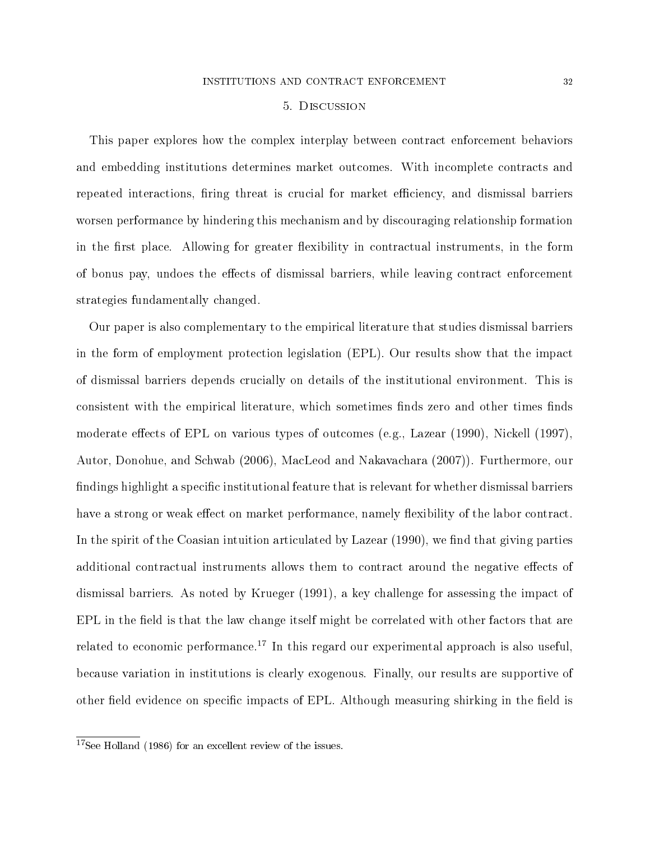#### 5. Discussion

This paper explores how the complex interplay between contract enforcement behaviors and embedding institutions determines market outcomes. With incomplete contracts and repeated interactions, firing threat is crucial for market efficiency, and dismissal barriers worsen performance by hindering this mechanism and by discouraging relationship formation in the first place. Allowing for greater flexibility in contractual instruments, in the form of bonus pay, undoes the effects of dismissal barriers, while leaving contract enforcement strategies fundamentally changed.

Our paper is also complementary to the empirical literature that studies dismissal barriers in the form of employment protection legislation (EPL). Our results show that the impact of dismissal barriers depends crucially on details of the institutional environment. This is consistent with the empirical literature, which sometimes finds zero and other times finds moderate effects of EPL on various types of outcomes (e.g., Lazear  $(1990)$ , Nickell  $(1997)$ , Autor, Donohue, and Schwab (2006), MacLeod and Nakavachara (2007)). Furthermore, our findings highlight a specific institutional feature that is relevant for whether dismissal barriers have a strong or weak effect on market performance, namely flexibility of the labor contract. In the spirit of the Coasian intuition articulated by Lazear  $(1990)$ , we find that giving parties additional contractual instruments allows them to contract around the negative effects of dismissal barriers. As noted by Krueger (1991), a key challenge for assessing the impact of  $EPL$  in the field is that the law change itself might be correlated with other factors that are related to economic performance.<sup>17</sup> In this regard our experimental approach is also useful. because variation in institutions is clearly exogenous. Finally, our results are supportive of other field evidence on specific impacts of EPL. Although measuring shirking in the field is

<sup>17</sup>See Holland (1986) for an excellent review of the issues.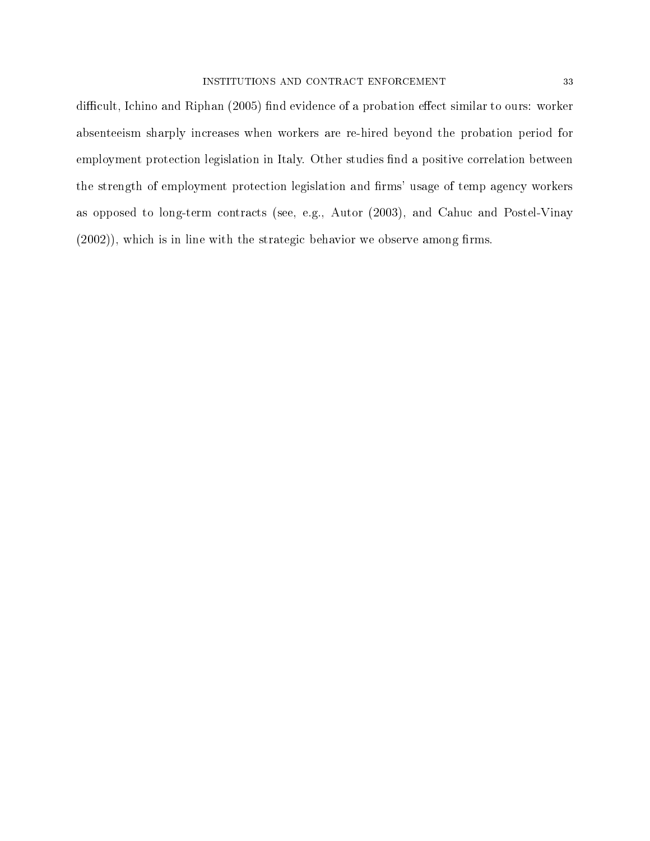difficult, Ichino and Riphan (2005) find evidence of a probation effect similar to ours: worker absenteeism sharply increases when workers are re-hired beyond the probation period for employment protection legislation in Italy. Other studies find a positive correlation between the strength of employment protection legislation and firms' usage of temp agency workers as opposed to long-term contracts (see, e.g., Autor (2003), and Cahuc and Postel-Vinay  $(2002)$ , which is in line with the strategic behavior we observe among firms.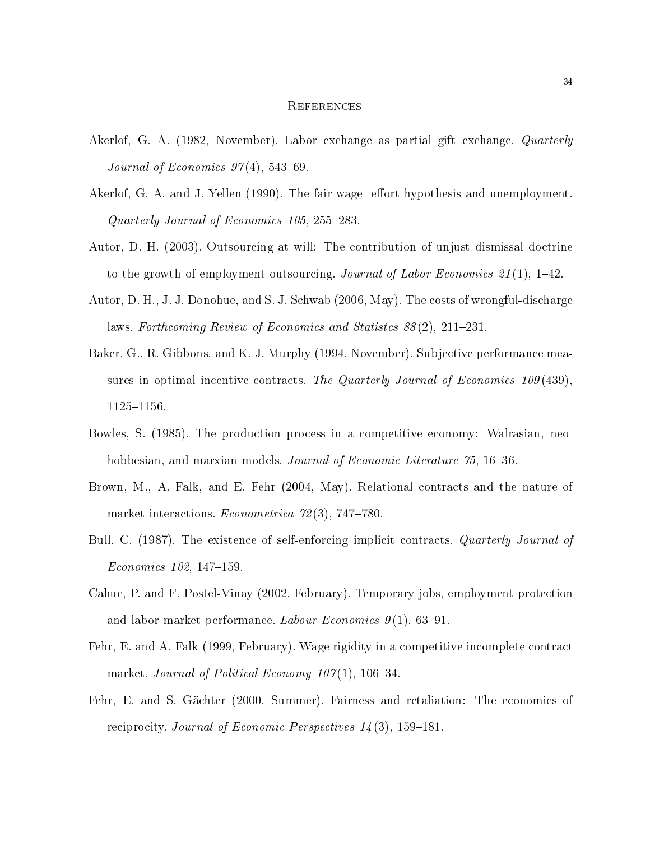#### **REFERENCES**

- Akerlof, G. A. (1982, November). Labor exchange as partial gift exchange. Quarterly Journal of Economics  $97(4)$ , 543-69.
- Akerlof, G. A. and J. Yellen (1990). The fair wage- effort hypothesis and unemployment. Quarterly Journal of Economics 105, 255283.
- Autor, D. H. (2003). Outsourcing at will: The contribution of unjust dismissal doctrine to the growth of employment outsourcing. Journal of Labor Economics 21(1), 1–42.
- Autor, D. H., J. J. Donohue, and S. J. Schwab (2006, May). The costs of wrongful-discharge laws. Forthcoming Review of Economics and Statistes  $88(2)$ , 211-231.
- Baker, G., R. Gibbons, and K. J. Murphy (1994, November). Subjective performance measures in optimal incentive contracts. The Quarterly Journal of Economics 109 (439), 1125-1156.
- Bowles, S. (1985). The production process in a competitive economy: Walrasian, neohobbesian, and marxian models. Journal of Economic Literature 75, 16–36.
- Brown, M., A. Falk, and E. Fehr (2004, May). Relational contracts and the nature of market interactions. *Econometrica*  $72(3)$ ,  $747-780$ .
- Bull, C. (1987). The existence of self-enforcing implicit contracts. Quarterly Journal of  $Economics$  102, 147-159.
- Cahuc, P. and F. Postel-Vinay (2002, February). Temporary jobs, employment protection and labor market performance. Labour Economics  $9(1)$ , 63–91.
- Fehr, E. and A. Falk (1999, February). Wage rigidity in a competitive incomplete contract market. Journal of Political Economy  $107(1)$ , 106-34.
- Fehr, E. and S. Gächter (2000, Summer). Fairness and retaliation: The economics of reciprocity. Journal of Economic Perspectives  $14(3)$ , 159-181.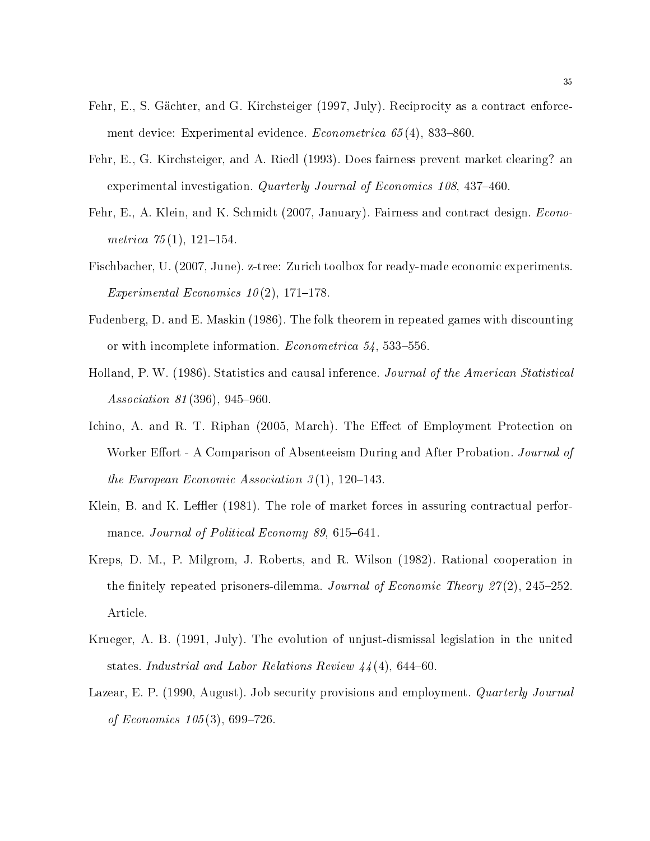- Fehr, E., S. Gächter, and G. Kirchsteiger (1997, July). Reciprocity as a contract enforcement device: Experimental evidence. *Econometrica*  $65(4)$ , 833-860.
- Fehr, E., G. Kirchsteiger, and A. Riedl (1993). Does fairness prevent market clearing? an experimental investigation. Quarterly Journal of Economics  $108$ ,  $437-460$ .
- Fehr, E., A. Klein, and K. Schmidt (2007, January). Fairness and contract design. *Econo*metrica  $75(1)$ , 121-154.
- Fischbacher, U. (2007, June). z-tree: Zurich toolbox for ready-made economic experiments. Experimental Economics  $10(2)$ , 171–178.
- Fudenberg, D. and E. Maskin (1986). The folk theorem in repeated games with discounting or with incomplete information. *Econometrica*  $54$ ,  $533-556$ .
- Holland, P. W. (1986). Statistics and causal inference. Journal of the American Statistical  $Association 81 (396), 945-960.$
- Ichino, A. and R. T. Riphan (2005, March). The Effect of Employment Protection on Worker Effort - A Comparison of Absenteeism During and After Probation. Journal of the European Economic Association  $3(1)$ , 120-143.
- Klein, B. and K. Leffler (1981). The role of market forces in assuring contractual performance. Journal of Political Economy 89, 615-641.
- Kreps, D. M., P. Milgrom, J. Roberts, and R. Wilson (1982). Rational cooperation in the finitely repeated prisoners-dilemma. Journal of Economic Theory 27(2), 245–252. Article.
- Krueger, A. B. (1991, July). The evolution of unjust-dismissal legislation in the united states. Industrial and Labor Relations Review  $44(4)$ , 644-60.
- Lazear, E. P. (1990, August). Job security provisions and employment. *Quarterly Journal* of Economics  $105(3)$ , 699-726.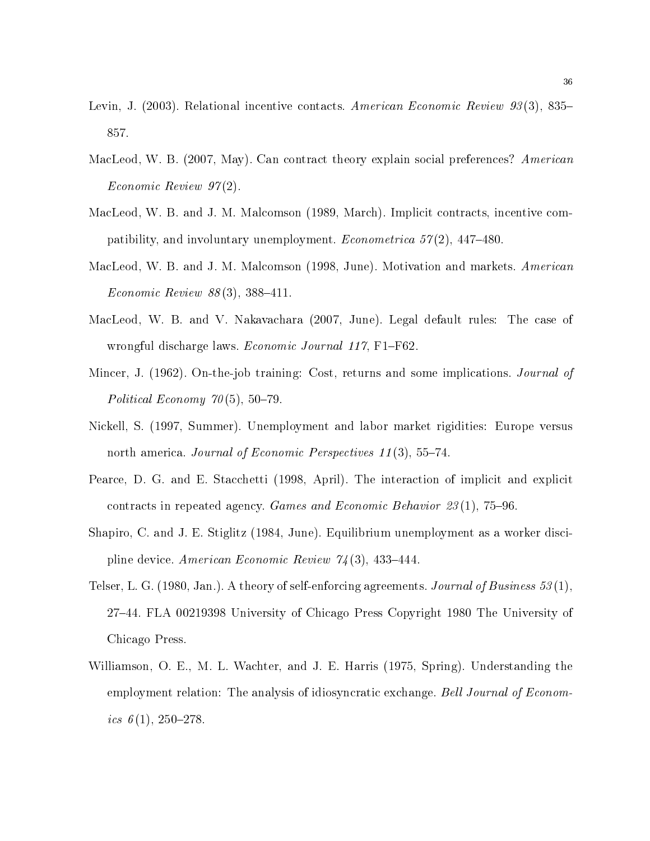- Levin, J. (2003). Relational incentive contacts. American Economic Review 93(3), 835– 857.
- MacLeod, W. B. (2007, May). Can contract theory explain social preferences? American Economic Review 97 (2).
- MacLeod, W. B. and J. M. Malcomson (1989, March). Implicit contracts, incentive compatibility, and involuntary unemployment. *Econometrica*  $57(2)$ , 447–480.
- MacLeod, W. B. and J. M. Malcomson (1998, June). Motivation and markets. American Economic Review  $88(3)$ , 388-411.
- MacLeod, W. B. and V. Nakavachara (2007, June). Legal default rules: The case of wrongful discharge laws. *Economic Journal 117*, F1–F62.
- Mincer, J. (1962). On-the-job training: Cost, returns and some implications. *Journal of* Political Economy  $70(5)$ , 50-79.
- Nickell, S. (1997, Summer). Unemployment and labor market rigidities: Europe versus north america. Journal of Economic Perspectives  $11(3)$ , 55-74.
- Pearce, D. G. and E. Stacchetti (1998, April). The interaction of implicit and explicit contracts in repeated agency. Games and Economic Behavior  $23(1)$ , 75–96.
- Shapiro, C. and J. E. Stiglitz (1984, June). Equilibrium unemployment as a worker discipline device. American Economic Review  $74(3)$ , 433-444.
- Telser, L. G. (1980, Jan.). A theory of self-enforcing agreements. Journal of Business  $53(1)$ , 2744. FLA 00219398 University of Chicago Press Copyright 1980 The University of Chicago Press.
- Williamson, O. E., M. L. Wachter, and J. E. Harris (1975, Spring). Understanding the employment relation: The analysis of idiosyncratic exchange. Bell Journal of Economics  $6(1)$ , 250-278.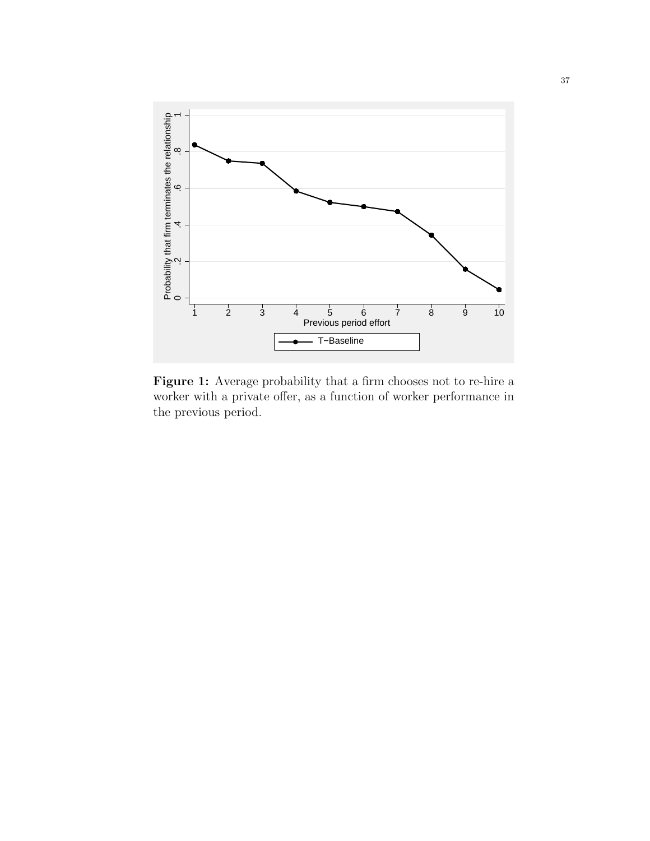

Figure 1: Average probability that a firm chooses not to re-hire a worker with a private offer, as a function of worker performance in the previous period.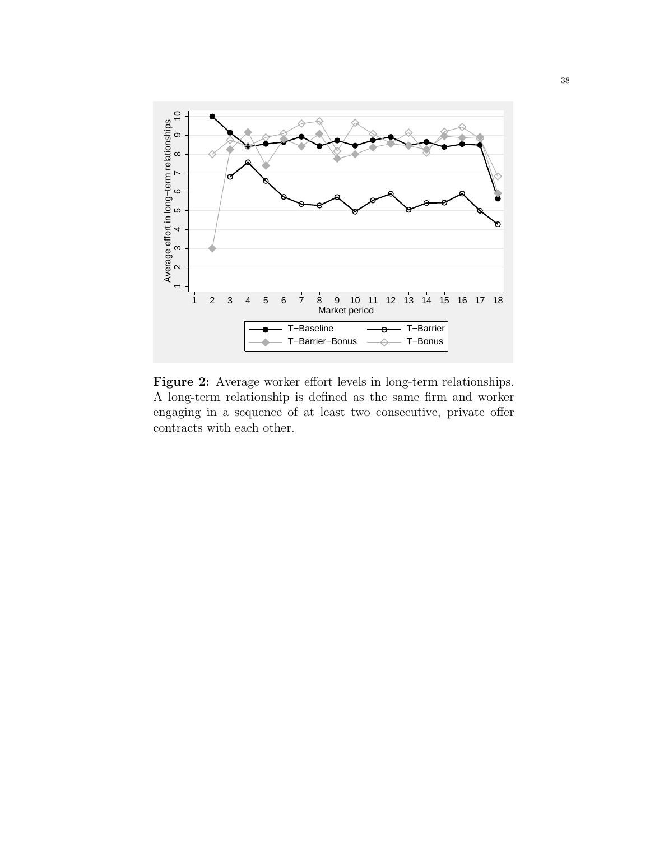

Figure 2: Average worker effort levels in long-term relationships. A long-term relationship is defined as the same firm and worker engaging in a sequence of at least two consecutive, private offer contracts with each other.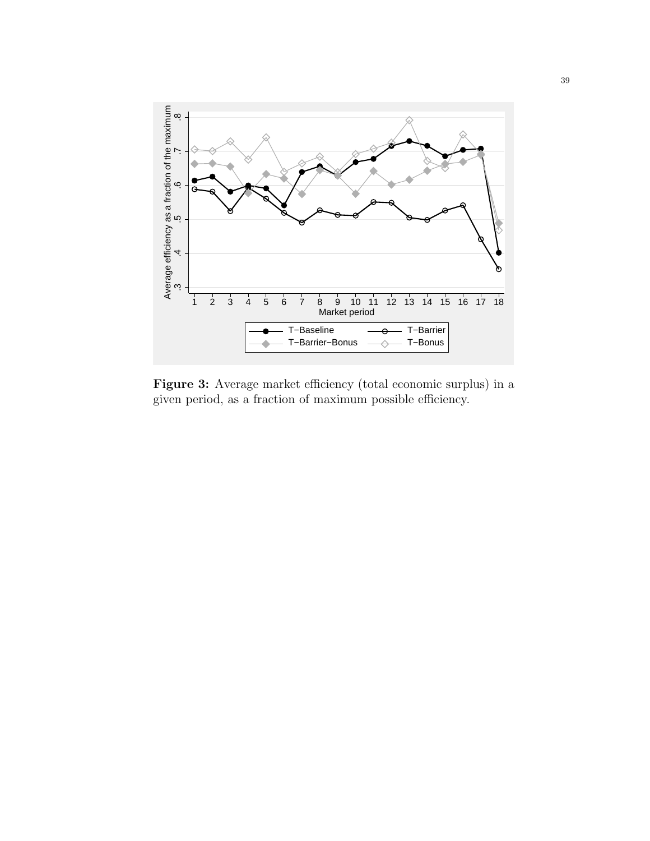

Figure 3: Average market efficiency (total economic surplus) in a given period, as a fraction of maximum possible efficiency.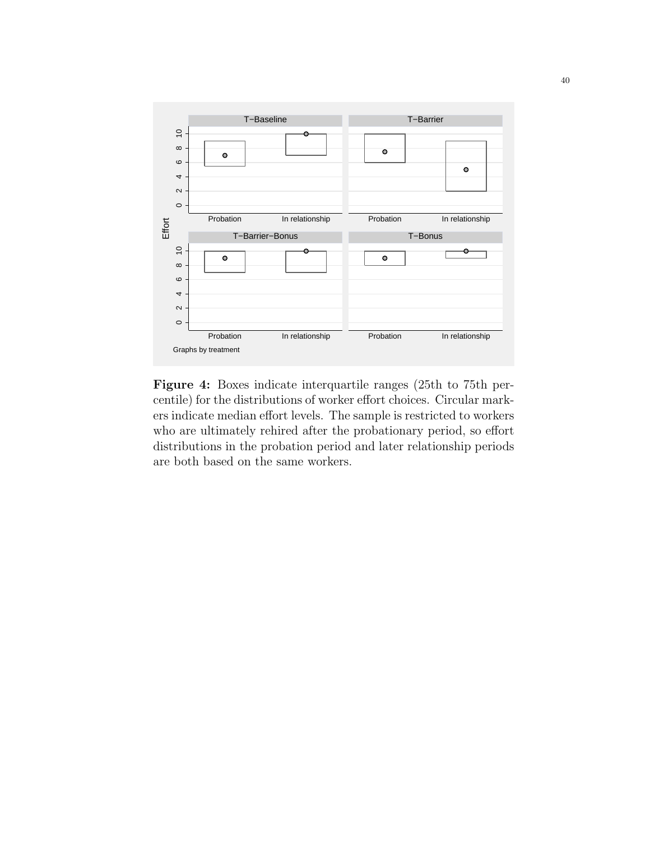

Figure 4: Boxes indicate interquartile ranges (25th to 75th percentile) for the distributions of worker effort choices. Circular markers indicate median effort levels. The sample is restricted to workers who are ultimately rehired after the probationary period, so effort distributions in the probation period and later relationship periods are both based on the same workers.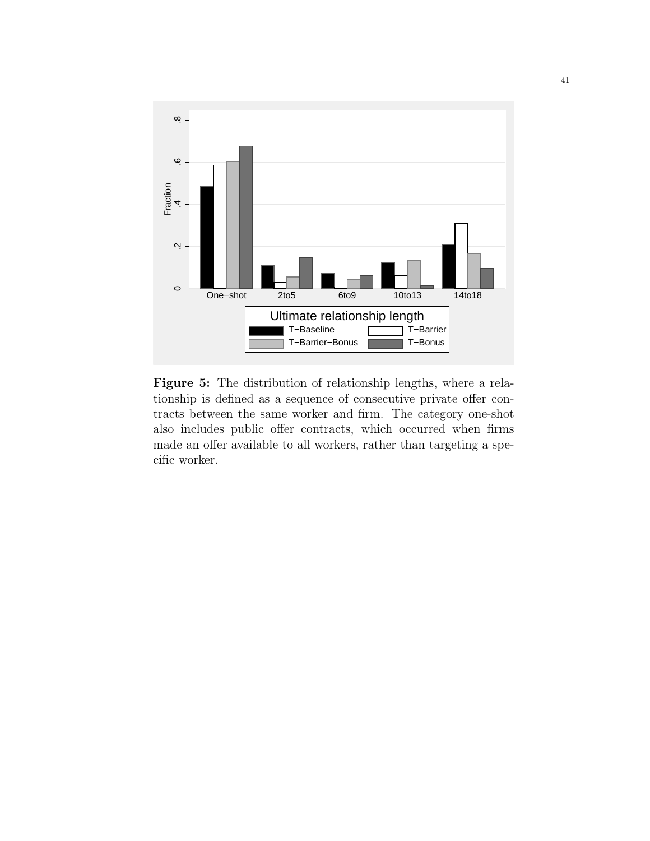

Figure 5: The distribution of relationship lengths, where a relationship is defined as a sequence of consecutive private offer contracts between the same worker and firm. The category one-shot also includes public offer contracts, which occurred when firms made an offer available to all workers, rather than targeting a specific worker.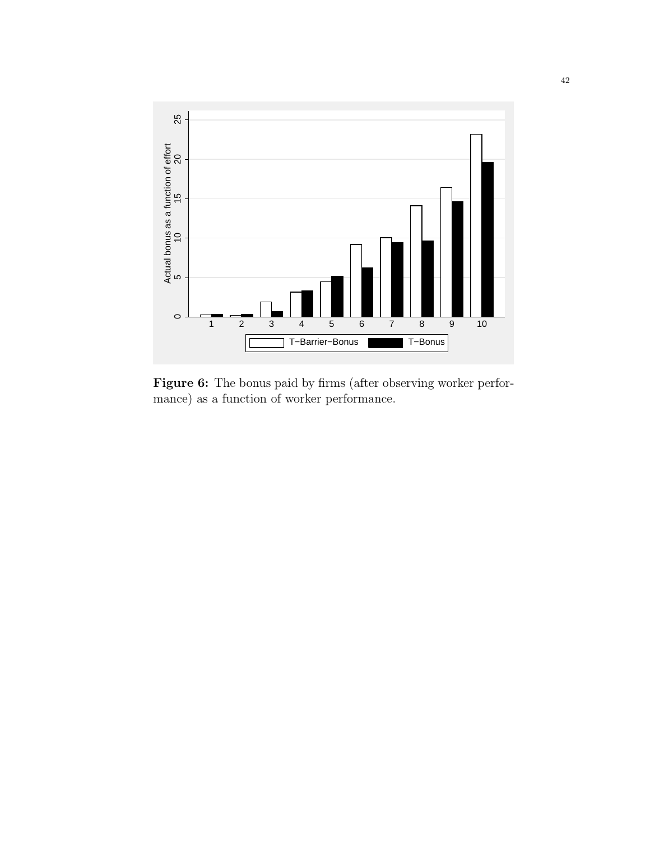

Figure 6: The bonus paid by firms (after observing worker performance) as a function of worker performance.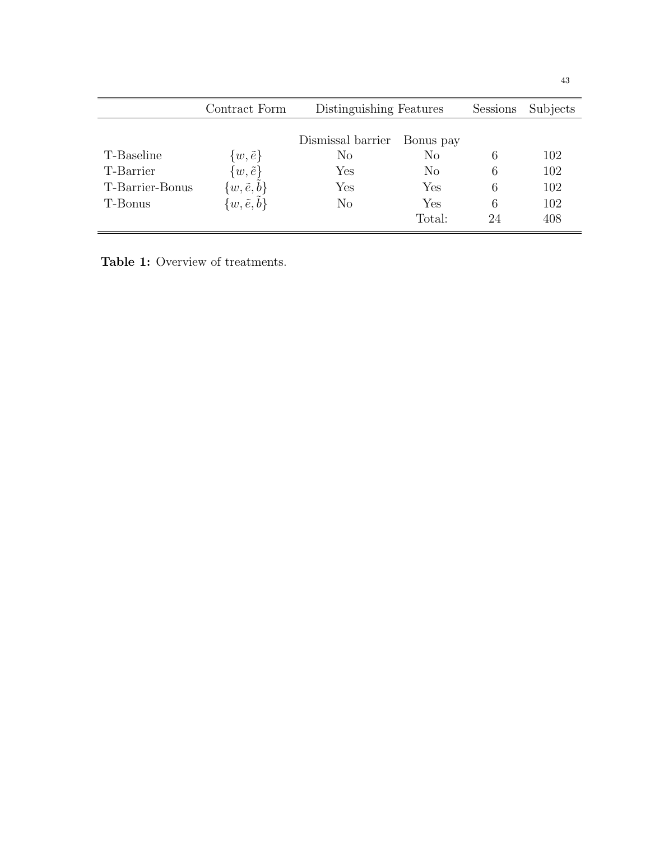|                 | Contract Form               | Distinguishing Features |          | <b>Sessions</b> | Subjects |
|-----------------|-----------------------------|-------------------------|----------|-----------------|----------|
|                 |                             | Dismissal barrier       |          |                 |          |
| T-Baseline      | $\{w,\tilde{e}\}\$          | No                      | $\rm No$ | 6               | 102      |
| T-Barrier       | $\{w,\tilde{e}\}\$          | Yes                     | $\rm No$ | 6               | 102      |
| T-Barrier-Bonus | $\{w,\tilde{e},\tilde{b}\}$ | Yes                     | Yes      | 6               | 102      |
| T-Bonus         | $\{w,\tilde{e},\tilde{b}\}$ | $\rm No$                | Yes      | 6               | 102      |
|                 |                             |                         | Total:   | 24              | 408      |

Table 1: Overview of treatments.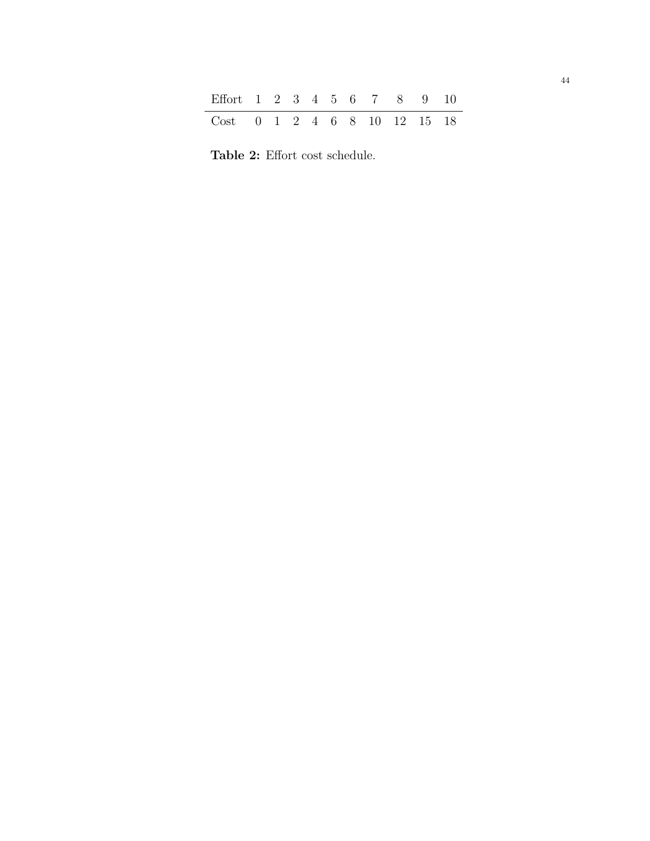| Effort 1 2 3 4 5 6 7 8 9 10                                                                |  |  |  |  |  |
|--------------------------------------------------------------------------------------------|--|--|--|--|--|
| $Cost \quad 0 \quad 1 \quad 2 \quad 4 \quad 6 \quad 8 \quad 10 \quad 12 \quad 15 \quad 18$ |  |  |  |  |  |

Table 2: Effort cost schedule.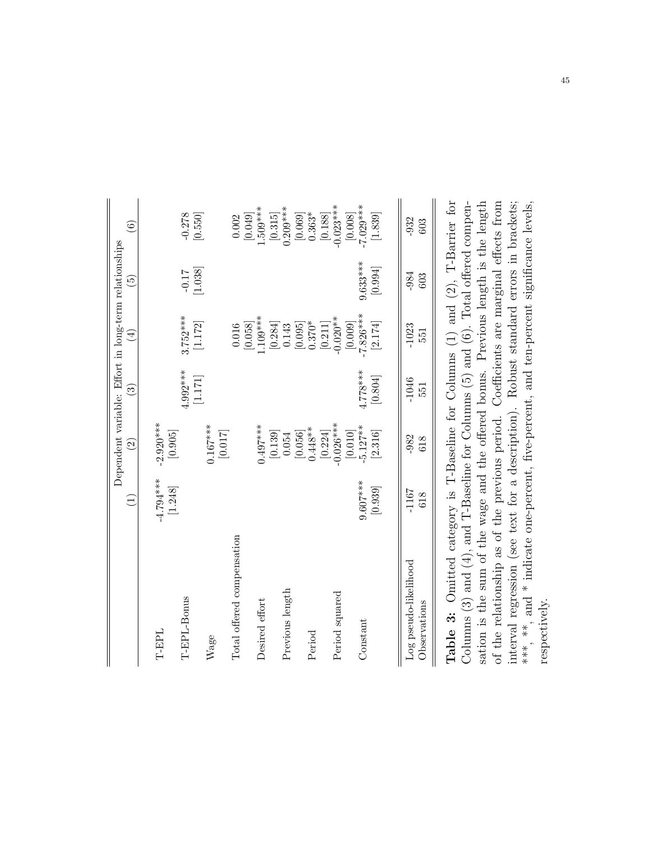|                                                                                                                                                                             | Ξ           | $\widehat{\Omega}$     | $\widehat{\mathbb{C}}$ | Dependent variable: Effort in long-term relationships<br>$\widehat{\mathbb{E}}$ | $\widehat{5}$ | $\circledcirc$                       |
|-----------------------------------------------------------------------------------------------------------------------------------------------------------------------------|-------------|------------------------|------------------------|---------------------------------------------------------------------------------|---------------|--------------------------------------|
| T-EPL                                                                                                                                                                       | $-4.794***$ | $-2.920***$            |                        |                                                                                 |               |                                      |
| T-EPL-Bonus                                                                                                                                                                 | [1.248]     | [0.905]                | $4.992***$             | $3.752***$                                                                      | $-0.17$       | $-0.278$                             |
| Wage                                                                                                                                                                        |             | $0.167***$             | [1.171]                | [1.172]                                                                         | [1.038]       | [0.550]                              |
| Total offered compensation                                                                                                                                                  |             | [0.017]                |                        | 0.016                                                                           |               | 0.002                                |
| Desired effort                                                                                                                                                              |             | $0.497***$             |                        | $.109***$<br>[0.058]                                                            |               | $.509***$<br>[0.049]                 |
| Previous length                                                                                                                                                             |             | [0.139]<br>0.054       |                        | [0.284]<br>0.143                                                                |               | $0.209***$<br>$[0.315] \label{eq:4}$ |
| Period                                                                                                                                                                      |             | $0.448***$<br>[0.056]  |                        | $0.370*$<br>[0.095]                                                             |               | [0.069]<br>$0.363*$                  |
| Period squared                                                                                                                                                              |             | $-0.026***$<br>[0.224] |                        | $-0.020**$<br>[0.211]                                                           |               | $-0.023***$<br>$\left[ 0.188\right]$ |
| Constant                                                                                                                                                                    | $9.607***$  | $-5.127***$<br>[0.010] | 4.778***               | $-7.826***$<br>[0.009]                                                          | $9.633***$    | $-7.029***$<br>$\left[0.008\right]$  |
|                                                                                                                                                                             | [0.939]     | [2.316]                | [0.804]                | [2.174]                                                                         | [0.994]       | [1.839]                              |
| Log pseudo-likelihood                                                                                                                                                       | $-1167$     | $-982$                 | $-1046$                | $-1023$                                                                         | $-984$        | $-932$                               |
| Observations                                                                                                                                                                | 618         | 618                    | 551                    | 551                                                                             | 603           | 603                                  |
| <b>Table 3:</b> Omitted category is T-Baseline for Columns (1) and (2), T-Barrier for<br>Columns (3) and (4), and T-Baseline for Columns (5) and (6). Total offered compen- |             |                        |                        |                                                                                 |               |                                      |

sation is the sum of the wage and the offered bonus. Previous length is the length of the relationship as of the previous period. Coefficients are marginal effects from<br>interval regression (see text for a description). Robust standard errors in brackets;<br>\*\*\*, \*\*, and \* indicate one-percent, five-percent sation is the sum of the wage and the offered bonus. Previous length is the length of the relationship as of the previous period. Coefficients are marginal effects from<br>  $\lim_{n \to \infty}$   $\lim_{n \to \infty}$   $\lim_{n \to \infty}$   $\lim_{n \to \infty}$   $\lim_{n \to \infty}$   $\lim_{n \to \infty}$   $\lim_{n \to \infty}$ interval regression (see text for a description). Robust standard errors in brackets; \*\*\*, \*\*, and \* indicate one-percent, five-percent, and ten-percent significance levels, respectively. respectively.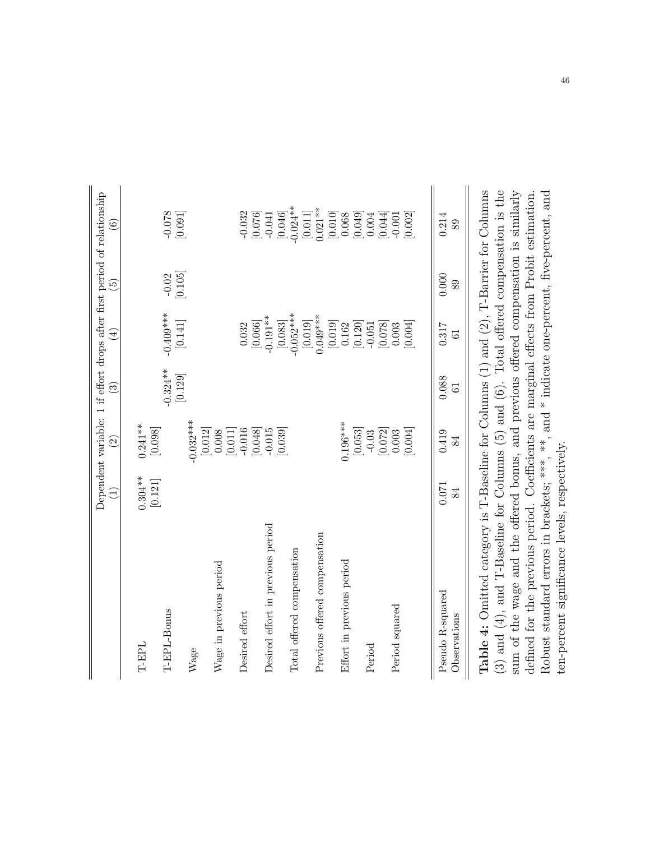|                                   | Ξ                     | $\widehat{2}$                                             | $\widehat{\mathbf{e}}$  | $\left(\frac{1}{2}\right)$         | $\widetilde{\Xi}$  | Dependent variable: 1 if effort drops after first period of relationship<br>$\widehat{\mathbf{e}}$ |
|-----------------------------------|-----------------------|-----------------------------------------------------------|-------------------------|------------------------------------|--------------------|----------------------------------------------------------------------------------------------------|
| <b>THET</b>                       | $0.304***$<br>[0.121] | $0.241***$<br>[0.098]                                     |                         |                                    |                    |                                                                                                    |
| T-EPL-Bonus                       |                       |                                                           | $-0.324***$<br>[0.129]  | $-0.409***$<br>[0.141]             | $-0.02$<br>[0.105] | [160.0]                                                                                            |
| Wage                              |                       | $-0.032***$<br>$\left[0.012\right]$                       |                         |                                    |                    |                                                                                                    |
| Wage in previous period           |                       | 0.008                                                     |                         |                                    |                    |                                                                                                    |
| Desired effort                    |                       | $-0.016$<br>[0.011]                                       |                         | 0.032                              |                    |                                                                                                    |
| Desired effort in previous period |                       | [0.048]                                                   |                         | $-0.191**$<br>$\left[0.066\right]$ |                    | $\begin{bmatrix} 0.032 \\ 0.076 \end{bmatrix}$                                                     |
| Total offered compensation        |                       | [0.039]                                                   |                         | $-0.052***$<br>[0.083]             |                    | $[0.046]$<br>$-0.024**$                                                                            |
| Previous offered compensation     |                       |                                                           |                         | $[0.019]$<br>$0.049***$            |                    | $[0.011]$<br>$0.021**$                                                                             |
| Effort in previous period         |                       | $0.196***$                                                |                         | $\left[0.019\right]$<br>0.162      |                    | $\begin{bmatrix} 0.010 \\ 0.068 \end{bmatrix}$                                                     |
| Period                            |                       | $[0.053]$                                                 |                         | [0.120]<br>$-0.051$                |                    | $\begin{bmatrix} 0.049 \\ 0.004 \end{bmatrix}$                                                     |
| Period squared                    |                       | $\begin{bmatrix} -0.03 \\ [0.072] \\ 0.003 \end{bmatrix}$ |                         | [0.078]<br>0.003                   |                    | [0.044]<br>$-0.001$                                                                                |
|                                   |                       | [0.004]                                                   |                         | [0.004]                            |                    | [0.002]                                                                                            |
| Pseudo R-squared<br>Observations  | 0.071<br>84           | 0.419<br>84                                               | 0.088<br>$\overline{6}$ | 0.317<br>$\overline{6}$            | 0.000<br>89        | 0.214<br>89                                                                                        |

(3) and (4), and T-Baseline for Columns (5) and (6). Total offered compensation is the Table 4: Omitted category is T-Baseline for Columns (1) and (2), T-Barrier for Columns sum of the wage and the offered bonus, and previous offered compensation is similarly Robust standard errors in brackets; \*\*\*, \*\*, and \* indicate one-percent, five-percent, and defined for the previous period. Coefficients are marginal effects from Probit estimation. Table 4: Omitted category is T-Baseline for Columns (1) and (2), T-Barrier for Columns (3) and (4), and T-Baseline for Columns (5) and (6). Total offered compensation is the sum of the wage and the offered bonus, and previous offered compensation is similarly defined for the previous period. Coefficients are marginal effects from Probit estimation. Robust standard errors in brackets; \*\*\*, \*\*, and \* indicate one-percent, five-percent, and ten-percent significance levels, respectively. ten-percent significance levels, respectively.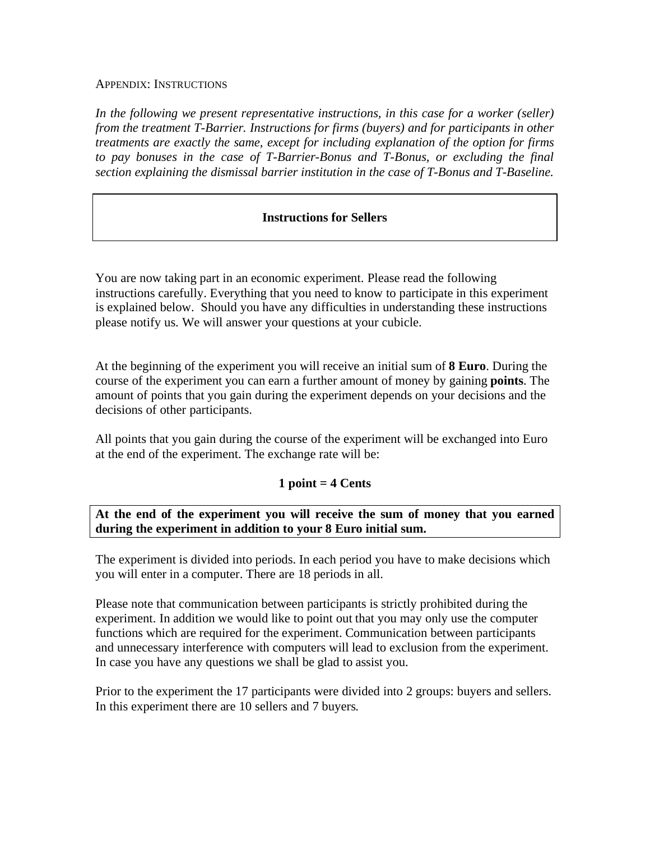#### APPENDIX: INSTRUCTIONS

In the following we present representative instructions, in this case for a worker (seller) *from the treatment T-Barrier. Instructions for firms (buyers) and for participants in other treatments are exactly the same, except for including explanation of the option for firms*  to pay bonuses in the case of T-Barrier-Bonus and T-Bonus, or excluding the final *section explaining the dismissal barrier institution in the case of T-Bonus and T-Baseline.*

#### **Instructions for Sellers**

You are now taking part in an economic experiment. Please read the following instructions carefully. Everything that you need to know to participate in this experiment is explained below. Should you have any difficulties in understanding these instructions please notify us. We will answer your questions at your cubicle.

At the beginning of the experiment you will receive an initial sum of **8 Euro**. During the course of the experiment you can earn a further amount of money by gaining **points**. The amount of points that you gain during the experiment depends on your decisions and the decisions of other participants.

All points that you gain during the course of the experiment will be exchanged into Euro at the end of the experiment. The exchange rate will be:

#### **1 point = 4 Cents**

#### **At the end of the experiment you will receive the sum of money that you earned during the experiment in addition to your 8 Euro initial sum.**

The experiment is divided into periods. In each period you have to make decisions which you will enter in a computer. There are 18 periods in all.

Please note that communication between participants is strictly prohibited during the experiment. In addition we would like to point out that you may only use the computer functions which are required for the experiment. Communication between participants and unnecessary interference with computers will lead to exclusion from the experiment. In case you have any questions we shall be glad to assist you.

Prior to the experiment the 17 participants were divided into 2 groups: buyers and sellers. In this experiment there are 10 sellers and 7 buyers.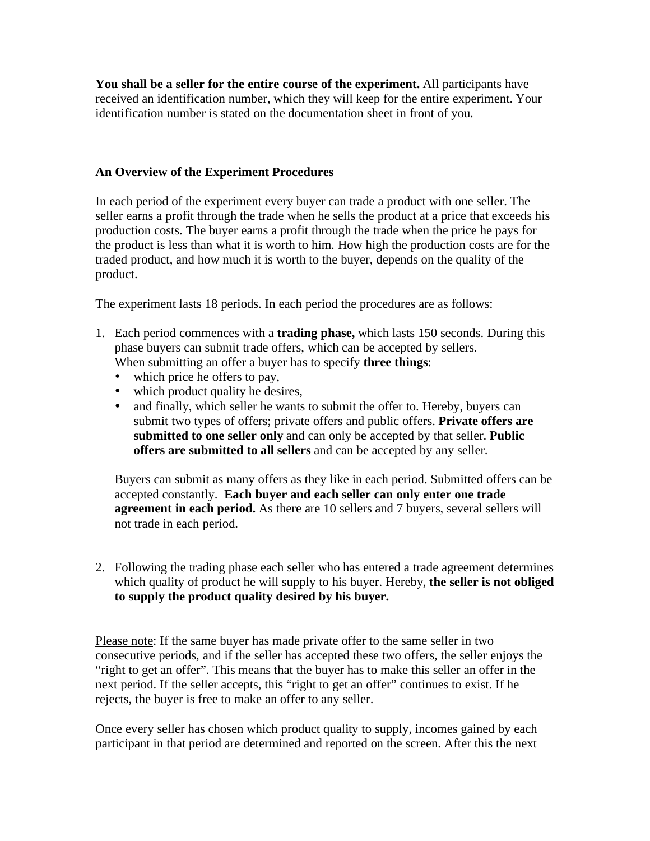**You shall be a seller for the entire course of the experiment.** All participants have received an identification number, which they will keep for the entire experiment. Your identification number is stated on the documentation sheet in front of you.

#### **An Overview of the Experiment Procedures**

In each period of the experiment every buyer can trade a product with one seller. The seller earns a profit through the trade when he sells the product at a price that exceeds his production costs. The buyer earns a profit through the trade when the price he pays for the product is less than what it is worth to him. How high the production costs are for the traded product, and how much it is worth to the buyer, depends on the quality of the product.

The experiment lasts 18 periods. In each period the procedures are as follows:

- 1. Each period commences with a **trading phase,** which lasts 150 seconds. During this phase buyers can submit trade offers, which can be accepted by sellers. When submitting an offer a buyer has to specify **three things**:
	- which price he offers to pay,
	- which product quality he desires,
	- and finally, which seller he wants to submit the offer to. Hereby, buyers can submit two types of offers; private offers and public offers. **Private offers are submitted to one seller only** and can only be accepted by that seller. **Public offers are submitted to all sellers** and can be accepted by any seller.

Buyers can submit as many offers as they like in each period. Submitted offers can be accepted constantly. **Each buyer and each seller can only enter one trade agreement in each period.** As there are 10 sellers and 7 buyers, several sellers will not trade in each period.

2. Following the trading phase each seller who has entered a trade agreement determines which quality of product he will supply to his buyer. Hereby, **the seller is not obliged to supply the product quality desired by his buyer.**

Please note: If the same buyer has made private offer to the same seller in two consecutive periods, and if the seller has accepted these two offers, the seller enjoys the "right to get an offer". This means that the buyer has to make this seller an offer in the next period. If the seller accepts, this "right to get an offer" continues to exist. If he rejects, the buyer is free to make an offer to any seller.

Once every seller has chosen which product quality to supply, incomes gained by each participant in that period are determined and reported on the screen. After this the next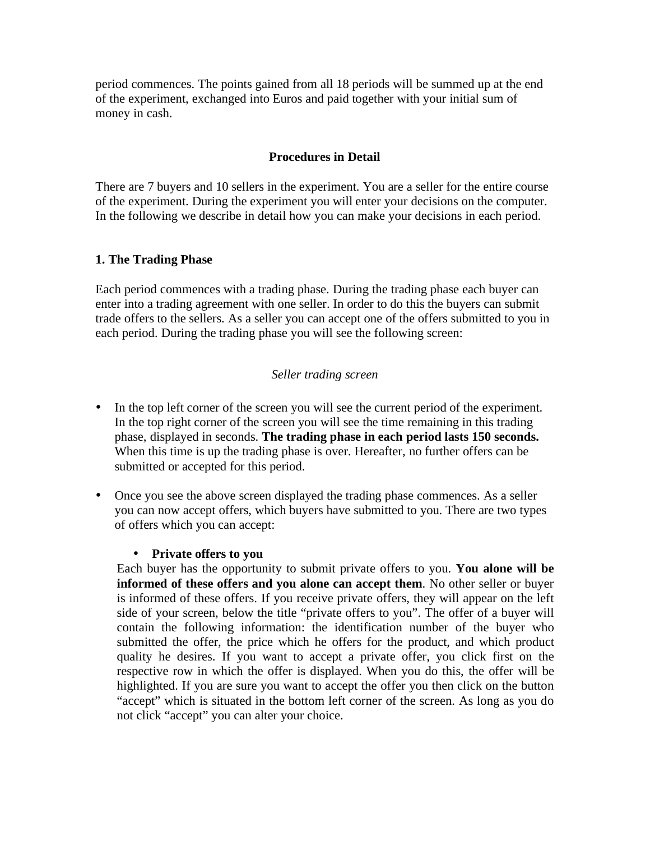period commences. The points gained from all 18 periods will be summed up at the end of the experiment, exchanged into Euros and paid together with your initial sum of money in cash.

#### **Procedures in Detail**

There are 7 buyers and 10 sellers in the experiment. You are a seller for the entire course of the experiment. During the experiment you will enter your decisions on the computer. In the following we describe in detail how you can make your decisions in each period.

#### **1. The Trading Phase**

Each period commences with a trading phase. During the trading phase each buyer can enter into a trading agreement with one seller. In order to do this the buyers can submit trade offers to the sellers. As a seller you can accept one of the offers submitted to you in each period. During the trading phase you will see the following screen:

#### *Seller trading screen*

- In the top left corner of the screen you will see the current period of the experiment. In the top right corner of the screen you will see the time remaining in this trading phase, displayed in seconds. **The trading phase in each period lasts 150 seconds.** When this time is up the trading phase is over. Hereafter, no further offers can be submitted or accepted for this period.
- Once you see the above screen displayed the trading phase commences. As a seller you can now accept offers, which buyers have submitted to you. There are two types of offers which you can accept:

#### • **Private offers to you**

Each buyer has the opportunity to submit private offers to you. **You alone will be informed of these offers and you alone can accept them**. No other seller or buyer is informed of these offers. If you receive private offers, they will appear on the left side of your screen, below the title "private offers to you". The offer of a buyer will contain the following information: the identification number of the buyer who submitted the offer, the price which he offers for the product, and which product quality he desires. If you want to accept a private offer, you click first on the respective row in which the offer is displayed. When you do this, the offer will be highlighted. If you are sure you want to accept the offer you then click on the button "accept" which is situated in the bottom left corner of the screen. As long as you do not click "accept" you can alter your choice.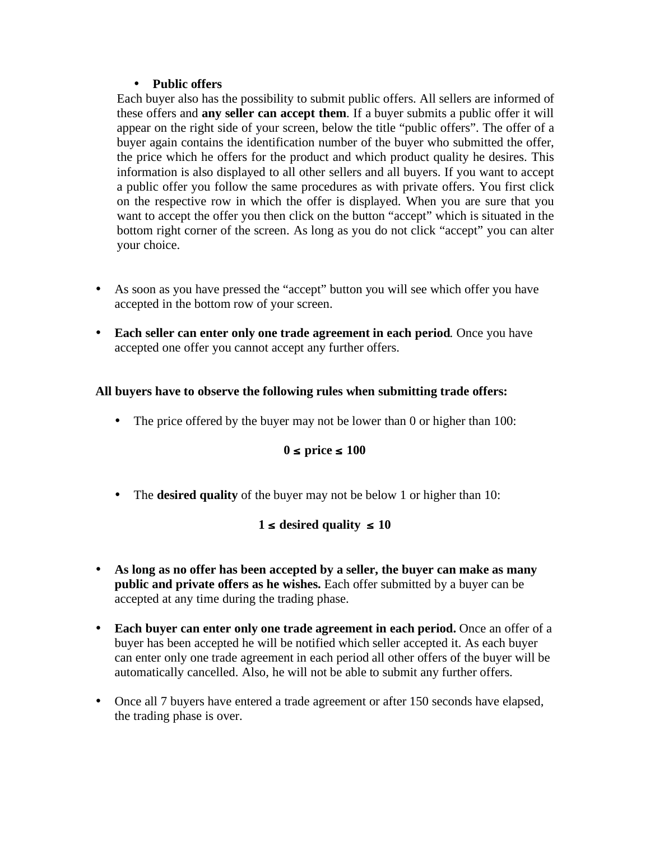#### • **Public offers**

Each buyer also has the possibility to submit public offers. All sellers are informed of these offers and **any seller can accept them**. If a buyer submits a public offer it will appear on the right side of your screen, below the title "public offers". The offer of a buyer again contains the identification number of the buyer who submitted the offer, the price which he offers for the product and which product quality he desires. This information is also displayed to all other sellers and all buyers. If you want to accept a public offer you follow the same procedures as with private offers. You first click on the respective row in which the offer is displayed. When you are sure that you want to accept the offer you then click on the button "accept" which is situated in the bottom right corner of the screen. As long as you do not click "accept" you can alter your choice.

- As soon as you have pressed the "accept" button you will see which offer you have accepted in the bottom row of your screen.
- **Each seller can enter only one trade agreement in each period**. Once you have accepted one offer you cannot accept any further offers.

# **All buyers have to observe the following rules when submitting trade offers:**

• The price offered by the buyer may not be lower than 0 or higher than 100:

# **0** ≤ **price** ≤ **100**

• The **desired quality** of the buyer may not be below 1 or higher than 10:

# **1** ≤ **desired quality** ≤ **10**

- **As long as no offer has been accepted by a seller, the buyer can make as many public and private offers as he wishes.** Each offer submitted by a buyer can be accepted at any time during the trading phase.
- **Each buyer can enter only one trade agreement in each period.** Once an offer of a buyer has been accepted he will be notified which seller accepted it. As each buyer can enter only one trade agreement in each period all other offers of the buyer will be automatically cancelled. Also, he will not be able to submit any further offers.
- Once all 7 buyers have entered a trade agreement or after 150 seconds have elapsed, the trading phase is over.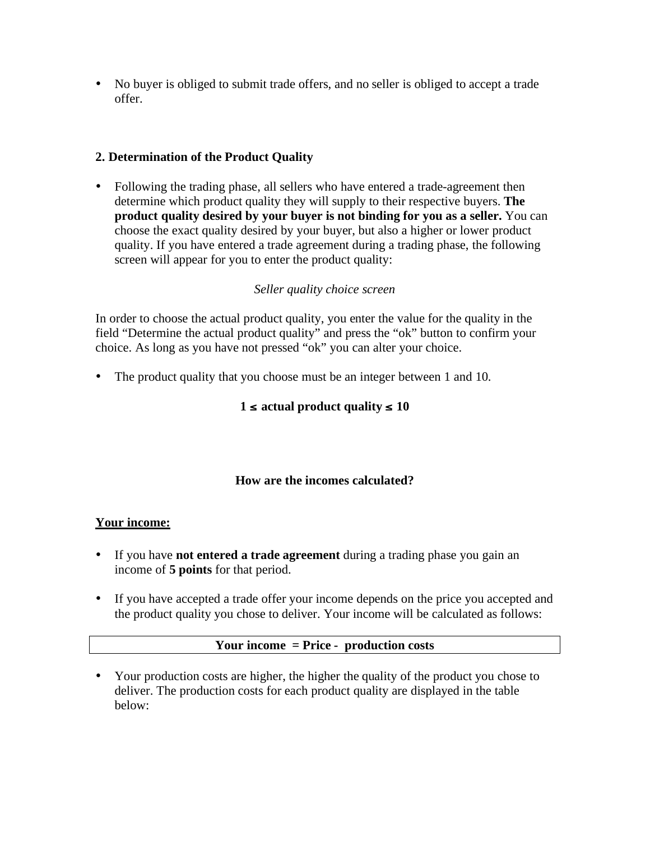• No buyer is obliged to submit trade offers, and no seller is obliged to accept a trade offer.

# **2. Determination of the Product Quality**

• Following the trading phase, all sellers who have entered a trade-agreement then determine which product quality they will supply to their respective buyers. **The product quality desired by your buyer is not binding for you as a seller.** You can choose the exact quality desired by your buyer, but also a higher or lower product quality. If you have entered a trade agreement during a trading phase, the following screen will appear for you to enter the product quality:

# *Seller quality choice screen*

In order to choose the actual product quality, you enter the value for the quality in the field "Determine the actual product quality" and press the "ok" button to confirm your choice. As long as you have not pressed "ok" you can alter your choice.

• The product quality that you choose must be an integer between 1 and 10.

# **1** ≤ **actual product quality** ≤ **10**

# **How are the incomes calculated?**

# **Your income:**

- If you have **not entered a trade agreement** during a trading phase you gain an income of **5 points** for that period.
- If you have accepted a trade offer your income depends on the price you accepted and the product quality you chose to deliver. Your income will be calculated as follows:

#### **Your income = Price - production costs**

• Your production costs are higher, the higher the quality of the product you chose to deliver. The production costs for each product quality are displayed in the table below: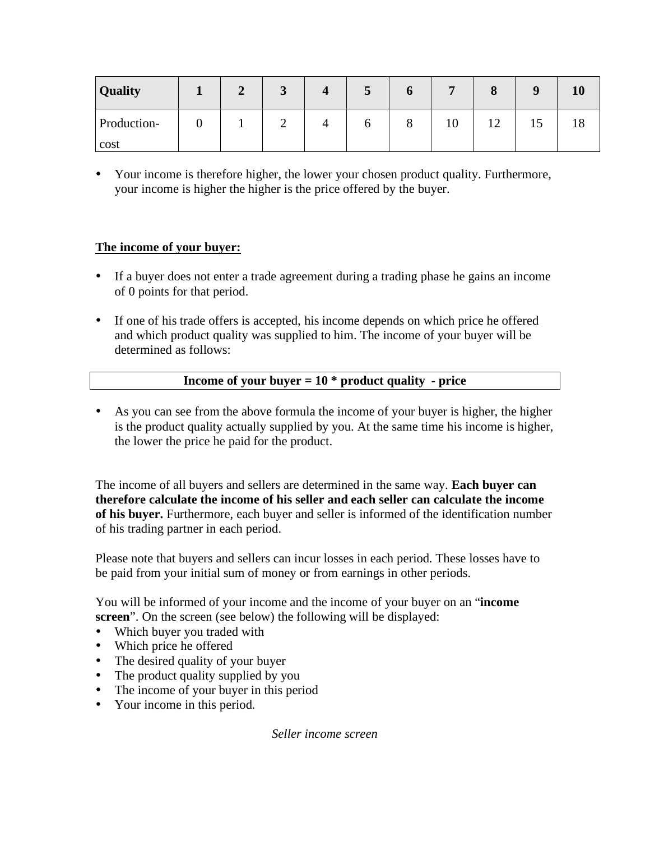| <b>Quality</b> | ↑<br>◢ | J | ⊃ | O             | -  | $\Omega$<br>$\mathbf o$ | $\Omega$ | 10 |
|----------------|--------|---|---|---------------|----|-------------------------|----------|----|
| Production-    |        |   | O | $\Omega$<br>Ō | 10 | $\sim$<br>┸╱            | 19       | 18 |
| cost           |        |   |   |               |    |                         |          |    |

• Your income is therefore higher, the lower your chosen product quality. Furthermore, your income is higher the higher is the price offered by the buyer.

# **The income of your buyer:**

- If a buyer does not enter a trade agreement during a trading phase he gains an income of 0 points for that period.
- If one of his trade offers is accepted, his income depends on which price he offered and which product quality was supplied to him. The income of your buyer will be determined as follows:

#### **Income of your buyer = 10 \* product quality - price**

• As you can see from the above formula the income of your buyer is higher, the higher is the product quality actually supplied by you. At the same time his income is higher, the lower the price he paid for the product.

The income of all buyers and sellers are determined in the same way. **Each buyer can therefore calculate the income of his seller and each seller can calculate the income of his buyer.** Furthermore, each buyer and seller is informed of the identification number of his trading partner in each period.

Please note that buyers and sellers can incur losses in each period. These losses have to be paid from your initial sum of money or from earnings in other periods.

You will be informed of your income and the income of your buyer on an "**income screen**". On the screen (see below) the following will be displayed:

- Which buyer you traded with
- Which price he offered
- The desired quality of your buyer
- The product quality supplied by you
- The income of your buyer in this period
- Your income in this period.

*Seller income screen*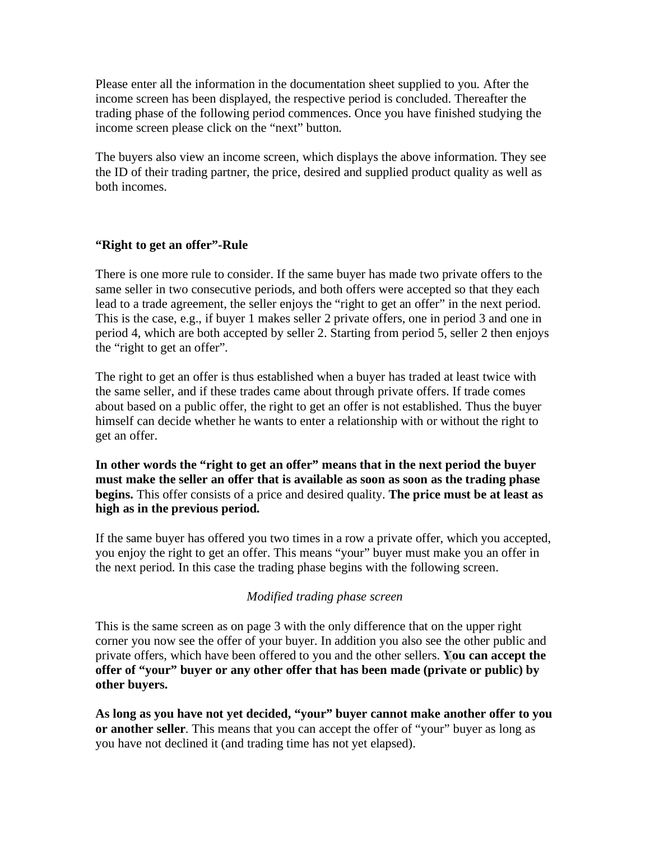Please enter all the information in the documentation sheet supplied to you. After the income screen has been displayed, the respective period is concluded. Thereafter the trading phase of the following period commences. Once you have finished studying the income screen please click on the "next" button.

The buyers also view an income screen, which displays the above information. They see the ID of their trading partner, the price, desired and supplied product quality as well as both incomes.

#### **"Right to get an offer"-Rule**

There is one more rule to consider. If the same buyer has made two private offers to the same seller in two consecutive periods, and both offers were accepted so that they each lead to a trade agreement, the seller enjoys the "right to get an offer" in the next period. This is the case, e.g., if buyer 1 makes seller 2 private offers, one in period 3 and one in period 4, which are both accepted by seller 2. Starting from period 5, seller 2 then enjoys the "right to get an offer".

The right to get an offer is thus established when a buyer has traded at least twice with the same seller, and if these trades came about through private offers. If trade comes about based on a public offer, the right to get an offer is not established. Thus the buyer himself can decide whether he wants to enter a relationship with or without the right to get an offer.

**In other words the "right to get an offer" means that in the next period the buyer must make the seller an offer that is available as soon as soon as the trading phase begins.** This offer consists of a price and desired quality. **The price must be at least as high as in the previous period.**

If the same buyer has offered you two times in a row a private offer, which you accepted, you enjoy the right to get an offer. This means "your" buyer must make you an offer in the next period. In this case the trading phase begins with the following screen.

# *Modified trading phase screen*

This is the same screen as on page 3 with the only difference that on the upper right corner you now see the offer of your buyer. In addition you also see the other public and private offers, which have been offered to you and the other sellers. **You can accept the offer of "your" buyer or any other offer that has been made (private or public) by other buyers.**

**As long as you have not yet decided, "your" buyer cannot make another offer to you or another seller**. This means that you can accept the offer of "your" buyer as long as you have not declined it (and trading time has not yet elapsed).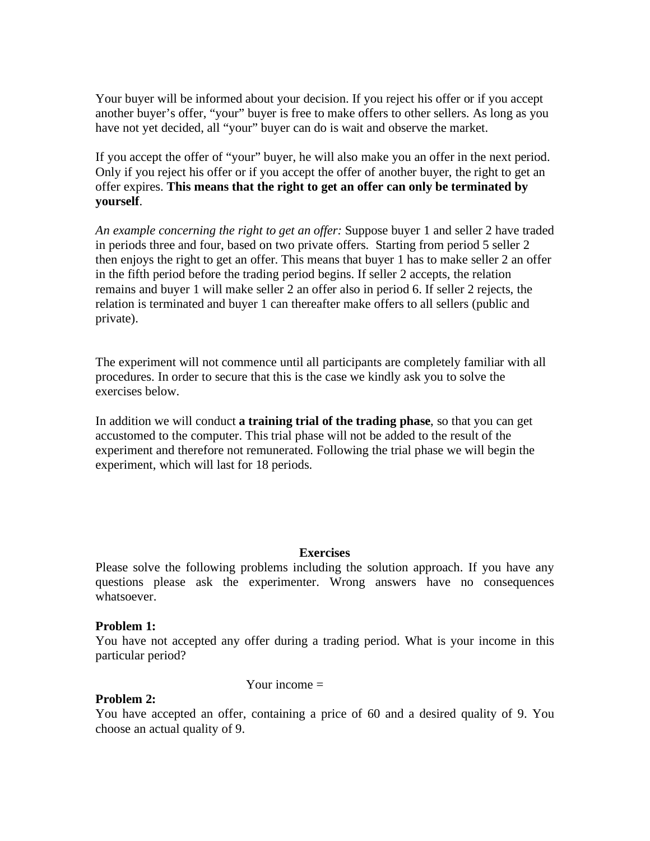Your buyer will be informed about your decision. If you reject his offer or if you accept another buyer's offer, "your" buyer is free to make offers to other sellers. As long as you have not yet decided, all "your" buyer can do is wait and observe the market.

If you accept the offer of "your" buyer, he will also make you an offer in the next period. Only if you reject his offer or if you accept the offer of another buyer, the right to get an offer expires. **This means that the right to get an offer can only be terminated by yourself**.

*An example concerning the right to get an offer:* Suppose buyer 1 and seller 2 have traded in periods three and four, based on two private offers. Starting from period 5 seller 2 then enjoys the right to get an offer. This means that buyer 1 has to make seller 2 an offer in the fifth period before the trading period begins. If seller 2 accepts, the relation remains and buyer 1 will make seller 2 an offer also in period 6. If seller 2 rejects, the relation is terminated and buyer 1 can thereafter make offers to all sellers (public and private).

The experiment will not commence until all participants are completely familiar with all procedures. In order to secure that this is the case we kindly ask you to solve the exercises below.

In addition we will conduct **a training trial of the trading phase**, so that you can get accustomed to the computer. This trial phase will not be added to the result of the experiment and therefore not remunerated. Following the trial phase we will begin the experiment, which will last for 18 periods.

#### **Exercises**

Please solve the following problems including the solution approach. If you have any questions please ask the experimenter. Wrong answers have no consequences whatsoever.

#### **Problem 1:**

You have not accepted any offer during a trading period. What is your income in this particular period?

Your income  $=$ 

#### **Problem 2:**

You have accepted an offer, containing a price of 60 and a desired quality of 9. You choose an actual quality of 9.